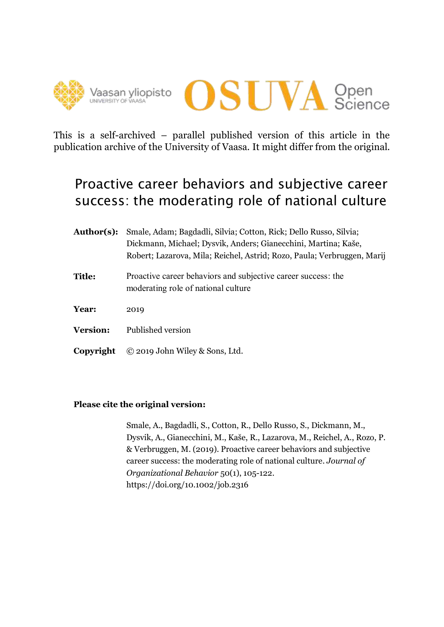



This is a self-archived – parallel published version of this article in the publication archive of the University of Vaasa. It might differ from the original.

# Proactive career behaviors and subjective career success: the moderating role of national culture

- **Author(s):** Smale, Adam; Bagdadli, Silvia; Cotton, Rick; Dello Russo, Silvia; Dickmann, Michael; Dysvik, Anders; Gianecchini, Martina; Kaše, Robert; Lazarova, Mila; Reichel, Astrid; Rozo, Paula; Verbruggen, Marij **Title:** Proactive career behaviors and subjective career success: the moderating role of national culture **Year:** 2019
- **Version:** Published version
- **Copyright** © 2019 John Wiley & Sons, Ltd.

## **Please cite the original version:**

Smale, A., Bagdadli, S., Cotton, R., Dello Russo, S., Dickmann, M., Dysvik, A., Gianecchini, M., Kaše, R., Lazarova, M., Reichel, A., Rozo, P. & Verbruggen, M. (2019). Proactive career behaviors and subjective career success: the moderating role of national culture. *Journal of Organizational Behavior* 50(1), 105-122. https://doi.org/10.1002/job.2316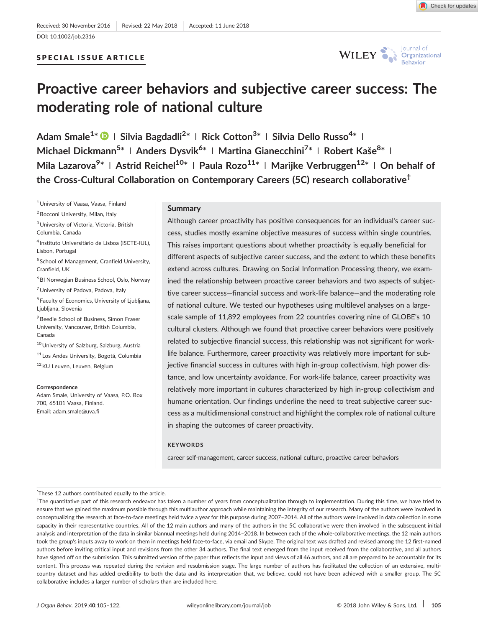DOI: 10.1002/job.2316

## SPECIAL ISSUE ARTICLE



# Proactive career behaviors and subjective career success: The moderating role of national culture

Adam Smale<sup>1\*</sup> © | Silvia Bagdadli<sup>2\*</sup> | Rick Cotton<sup>3\*</sup> | Silvia Dello Russo<sup>4\*</sup> | Michael Dickmann<sup>5\*</sup> | Anders Dysvik<sup>6\*</sup> | Martina Gianecchini<sup>7\*</sup> | Robert Kaše<sup>8\*</sup> | Mila Lazarova<sup>9</sup>\* | Astrid Reichel<sup>10</sup>\* | Paula Rozo<sup>11</sup>\* | Marijke Verbruggen<sup>12</sup>\* | On behalf of the Cross-Cultural Collaboration on Contemporary Careers (5C) research collaborative<sup>†</sup>

1University of Vaasa, Vaasa, Finland

<sup>2</sup> Bocconi University, Milan, Italy

 $3$ University of Victoria, Victoria, British Columbia, Canada

<sup>4</sup> Instituto Universitário de Lisboa (ISCTE‐IUL), Lisbon, Portugal

<sup>5</sup> School of Management, Cranfield University, Cranfield, UK

<sup>6</sup> BI Norwegian Business School, Oslo, Norway <sup>7</sup> University of Padova, Padova, Italy

<sup>8</sup> Faculty of Economics, University of Ljubljana, Ljubljana, Slovenia

<sup>9</sup> Beedie School of Business, Simon Fraser University, Vancouver, British Columbia, Canada

10 University of Salzburg, Salzburg, Austria

<sup>11</sup> Los Andes University, Bogotá, Columbia

12KU Leuven, Leuven, Belgium

#### **Correspondence**

Adam Smale, University of Vaasa, P.O. Box 700, 65101 Vaasa, Finland. Email: adam.smale@uva.fi

#### Summary

Although career proactivity has positive consequences for an individual's career success, studies mostly examine objective measures of success within single countries. This raises important questions about whether proactivity is equally beneficial for different aspects of subjective career success, and the extent to which these benefits extend across cultures. Drawing on Social Information Processing theory, we examined the relationship between proactive career behaviors and two aspects of subjective career success—financial success and work‐life balance—and the moderating role of national culture. We tested our hypotheses using multilevel analyses on a large‐ scale sample of 11,892 employees from 22 countries covering nine of GLOBE's 10 cultural clusters. Although we found that proactive career behaviors were positively related to subjective financial success, this relationship was not significant for work‐ life balance. Furthermore, career proactivity was relatively more important for subjective financial success in cultures with high in‐group collectivism, high power distance, and low uncertainty avoidance. For work‐life balance, career proactivity was relatively more important in cultures characterized by high in‐group collectivism and humane orientation. Our findings underline the need to treat subjective career success as a multidimensional construct and highlight the complex role of national culture in shaping the outcomes of career proactivity.

#### **KEYWORDS**

career self‐management, career success, national culture, proactive career behaviors

\* These 12 authors contributed equally to the article.

† The quantitative part of this research endeavor has taken a number of years from conceptualization through to implementation. During this time, we have tried to ensure that we gained the maximum possible through this multiauthor approach while maintaining the integrity of our research. Many of the authors were involved in conceptualizing the research at face‐to‐face meetings held twice a year for this purpose during 2007–2014. All of the authors were involved in data collection in some capacity in their representative countries. All of the 12 main authors and many of the authors in the 5C collaborative were then involved in the subsequent initial analysis and interpretation of the data in similar biannual meetings held during 2014-2018. In between each of the whole-collaborative meetings, the 12 main authors took the group's inputs away to work on them in meetings held face‐to‐face, via email and Skype. The original text was drafted and revised among the 12 first‐named authors before inviting critical input and revisions from the other 34 authors. The final text emerged from the input received from the collaborative, and all authors have signed off on the submission. This submitted version of the paper thus reflects the input and views of all 46 authors, and all are prepared to be accountable for its content. This process was repeated during the revision and resubmission stage. The large number of authors has facilitated the collection of an extensive, multicountry dataset and has added credibility to both the data and its interpretation that, we believe, could not have been achieved with a smaller group. The 5C collaborative includes a larger number of scholars than are included here.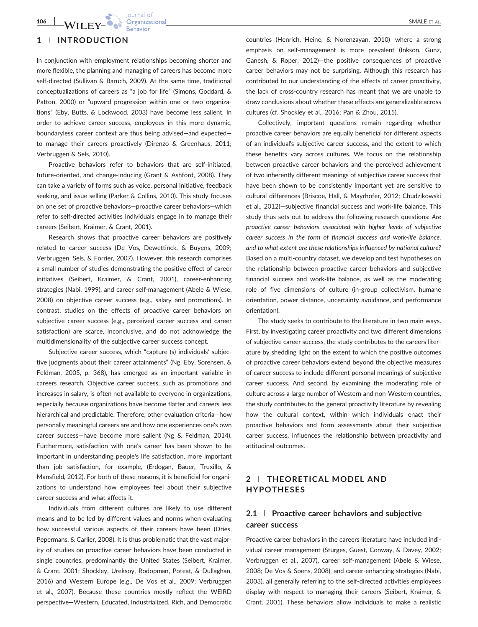## 1 | INTRODUCTION

In conjunction with employment relationships becoming shorter and more flexible, the planning and managing of careers has become more self-directed (Sullivan & Baruch, 2009). At the same time, traditional conceptualizations of careers as "a job for life" (Simons, Goddard, & Patton, 2000) or "upward progression within one or two organizations" (Eby, Butts, & Lockwood, 2003) have become less salient. In order to achieve career success, employees in this more dynamic, boundaryless career context are thus being advised—and expected to manage their careers proactively (Direnzo & Greenhaus, 2011; Verbruggen & Sels, 2010).

Proactive behaviors refer to behaviors that are self-initiated, future-oriented, and change-inducing (Grant & Ashford, 2008). They can take a variety of forms such as voice, personal initiative, feedback seeking, and issue selling (Parker & Collins, 2010). This study focuses on one set of proactive behaviors—proactive career behaviors—which refer to self-directed activities individuals engage in to manage their careers (Seibert, Kraimer, & Crant, 2001).

Research shows that proactive career behaviors are positively related to career success (De Vos, Dewettinck, & Buyens, 2009; Verbruggen, Sels, & Forrier, 2007). However, this research comprises a small number of studies demonstrating the positive effect of career initiatives (Seibert, Kraimer, & Crant, 2001), career‐enhancing strategies (Nabi, 1999), and career self‐management (Abele & Wiese, 2008) on objective career success (e.g., salary and promotions). In contrast, studies on the effects of proactive career behaviors on subjective career success (e.g., perceived career success and career satisfaction) are scarce, inconclusive, and do not acknowledge the multidimensionality of the subjective career success concept.

Subjective career success, which "capture (s) individuals' subjective judgments about their career attainments" (Ng, Eby, Sorensen, & Feldman, 2005, p. 368), has emerged as an important variable in careers research. Objective career success, such as promotions and increases in salary, is often not available to everyone in organizations, especially because organizations have become flatter and careers less hierarchical and predictable. Therefore, other evaluation criteria—how personally meaningful careers are and how one experiences one's own career success—have become more salient (Ng & Feldman, 2014). Furthermore, satisfaction with one's career has been shown to be important in understanding people's life satisfaction, more important than job satisfaction, for example, (Erdogan, Bauer, Truxillo, & Mansfield, 2012). For both of these reasons, it is beneficial for organizations to understand how employees feel about their subjective career success and what affects it.

Individuals from different cultures are likely to use different means and to be led by different values and norms when evaluating how successful various aspects of their careers have been (Dries, Pepermans, & Carlier, 2008). It is thus problematic that the vast majority of studies on proactive career behaviors have been conducted in single countries, predominantly the United States (Seibert, Kraimer, & Crant, 2001; Shockley, Ureksoy, Rodopman, Poteat, & Dullaghan, 2016) and Western Europe (e.g., De Vos et al., 2009; Verbruggen et al., 2007). Because these countries mostly reflect the WEIRD perspective—Western, Educated, Industrialized, Rich, and Democratic countries (Henrich, Heine, & Norenzayan, 2010)—where a strong emphasis on self‐management is more prevalent (Inkson, Gunz, Ganesh, & Roper, 2012)—the positive consequences of proactive career behaviors may not be surprising. Although this research has contributed to our understanding of the effects of career proactivity, the lack of cross‐country research has meant that we are unable to draw conclusions about whether these effects are generalizable across cultures (cf. Shockley et al., 2016; Pan & Zhou, 2015).

Collectively, important questions remain regarding whether proactive career behaviors are equally beneficial for different aspects of an individual's subjective career success, and the extent to which these benefits vary across cultures. We focus on the relationship between proactive career behaviors and the perceived achievement of two inherently different meanings of subjective career success that have been shown to be consistently important yet are sensitive to cultural differences (Briscoe, Hall, & Mayrhofer, 2012; Chudzikowski et al., 2012)—subjective financial success and work‐life balance. This study thus sets out to address the following research questions: Are proactive career behaviors associated with higher levels of subjective career success in the form of financial success and work‐life balance, and to what extent are these relationships influenced by national culture? Based on a multi‐country dataset, we develop and test hypotheses on the relationship between proactive career behaviors and subjective financial success and work‐life balance, as well as the moderating role of five dimensions of culture (in‐group collectivism, humane orientation, power distance, uncertainty avoidance, and performance orientation).

The study seeks to contribute to the literature in two main ways. First, by investigating career proactivity and two different dimensions of subjective career success, the study contributes to the careers literature by shedding light on the extent to which the positive outcomes of proactive career behaviors extend beyond the objective measures of career success to include different personal meanings of subjective career success. And second, by examining the moderating role of culture across a large number of Western and non‐Western countries, the study contributes to the general proactivity literature by revealing how the cultural context, within which individuals enact their proactive behaviors and form assessments about their subjective career success, influences the relationship between proactivity and attitudinal outcomes.

## 2 | THEORETICAL MODEL AND HYPOTHESES

## 2.1 | Proactive career behaviors and subjective career success

Proactive career behaviors in the careers literature have included individual career management (Sturges, Guest, Conway, & Davey, 2002; Verbruggen et al., 2007), career self‐management (Abele & Wiese, 2008; De Vos & Soens, 2008), and career‐enhancing strategies (Nabi, 2003), all generally referring to the self‐directed activities employees display with respect to managing their careers (Seibert, Kraimer, & Crant, 2001). These behaviors allow individuals to make a realistic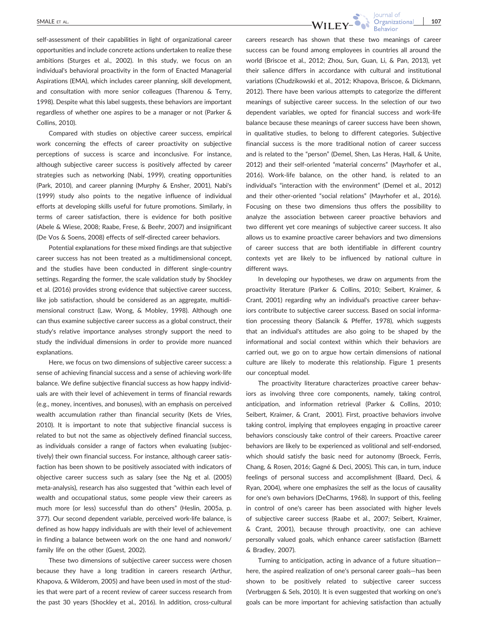self-assessment of their capabilities in light of organizational career opportunities and include concrete actions undertaken to realize these ambitions (Sturges et al., 2002). In this study, we focus on an individual's behavioral proactivity in the form of Enacted Managerial Aspirations (EMA), which includes career planning, skill development, and consultation with more senior colleagues (Tharenou & Terry, 1998). Despite what this label suggests, these behaviors are important regardless of whether one aspires to be a manager or not (Parker & Collins, 2010).

Compared with studies on objective career success, empirical work concerning the effects of career proactivity on subjective perceptions of success is scarce and inconclusive. For instance, although subjective career success is positively affected by career strategies such as networking (Nabi, 1999), creating opportunities (Park, 2010), and career planning (Murphy & Ensher, 2001), Nabi's (1999) study also points to the negative influence of individual efforts at developing skills useful for future promotions. Similarly, in terms of career satisfaction, there is evidence for both positive (Abele & Wiese, 2008; Raabe, Frese, & Beehr, 2007) and insignificant (De Vos & Soens, 2008) effects of self‐directed career behaviors.

Potential explanations for these mixed findings are that subjective career success has not been treated as a multidimensional concept, and the studies have been conducted in different single‐country settings. Regarding the former, the scale validation study by Shockley et al. (2016) provides strong evidence that subjective career success, like job satisfaction, should be considered as an aggregate, multidimensional construct (Law, Wong, & Mobley, 1998). Although one can thus examine subjective career success as a global construct, their study's relative importance analyses strongly support the need to study the individual dimensions in order to provide more nuanced explanations.

Here, we focus on two dimensions of subjective career success: a sense of achieving financial success and a sense of achieving work‐life balance. We define subjective financial success as how happy individuals are with their level of achievement in terms of financial rewards (e.g., money, incentives, and bonuses), with an emphasis on perceived wealth accumulation rather than financial security (Kets de Vries, 2010). It is important to note that subjective financial success is related to but not the same as objectively defined financial success, as individuals consider a range of factors when evaluating (subjectively) their own financial success. For instance, although career satisfaction has been shown to be positively associated with indicators of objective career success such as salary (see the Ng et al. (2005) meta‐analysis), research has also suggested that "within each level of wealth and occupational status, some people view their careers as much more (or less) successful than do others" (Heslin, 2005a, p. 377). Our second dependent variable, perceived work‐life balance, is defined as how happy individuals are with their level of achievement in finding a balance between work on the one hand and nonwork/ family life on the other (Guest, 2002).

These two dimensions of subjective career success were chosen because they have a long tradition in careers research (Arthur, Khapova, & Wilderom, 2005) and have been used in most of the studies that were part of a recent review of career success research from the past 30 years (Shockley et al., 2016). In addition, cross-cultural careers research has shown that these two meanings of career success can be found among employees in countries all around the world (Briscoe et al., 2012; Zhou, Sun, Guan, Li, & Pan, 2013), yet their salience differs in accordance with cultural and institutional variations (Chudzikowski et al., 2012; Khapova, Briscoe, & Dickmann, 2012). There have been various attempts to categorize the different meanings of subjective career success. In the selection of our two dependent variables, we opted for financial success and work‐life balance because these meanings of career success have been shown, in qualitative studies, to belong to different categories. Subjective financial success is the more traditional notion of career success and is related to the "person" (Demel, Shen, Las Heras, Hall, & Unite, 2012) and their self-oriented "material concerns" (Mayrhofer et al., 2016). Work‐life balance, on the other hand, is related to an individual's "interaction with the environment" (Demel et al., 2012) and their other‐oriented "social relations" (Mayrhofer et al., 2016). Focusing on these two dimensions thus offers the possibility to analyze the association between career proactive behaviors and two different yet core meanings of subjective career success. It also allows us to examine proactive career behaviors and two dimensions of career success that are both identifiable in different country contexts yet are likely to be influenced by national culture in different ways.

In developing our hypotheses, we draw on arguments from the proactivity literature (Parker & Collins, 2010; Seibert, Kraimer, & Crant, 2001) regarding why an individual's proactive career behaviors contribute to subjective career success. Based on social information processing theory (Salancik & Pfeffer, 1978), which suggests that an individual's attitudes are also going to be shaped by the informational and social context within which their behaviors are carried out, we go on to argue how certain dimensions of national culture are likely to moderate this relationship. Figure 1 presents our conceptual model.

The proactivity literature characterizes proactive career behaviors as involving three core components, namely, taking control, anticipation, and information retrieval (Parker & Collins, 2010; Seibert, Kraimer, & Crant, 2001). First, proactive behaviors involve taking control, implying that employees engaging in proactive career behaviors consciously take control of their careers. Proactive career behaviors are likely to be experienced as volitional and self‐endorsed, which should satisfy the basic need for autonomy (Broeck, Ferris, Chang, & Rosen, 2016; Gagné & Deci, 2005). This can, in turn, induce feelings of personal success and accomplishment (Baard, Deci, & Ryan, 2004), where one emphasizes the self as the locus of causality for one's own behaviors (DeCharms, 1968). In support of this, feeling in control of one's career has been associated with higher levels of subjective career success (Raabe et al., 2007; Seibert, Kraimer, & Crant, 2001), because through proactivity, one can achieve personally valued goals, which enhance career satisfaction (Barnett & Bradley, 2007).

Turning to anticipation, acting in advance of a future situation here, the aspired realization of one's personal career goals—has been shown to be positively related to subjective career success (Verbruggen & Sels, 2010). It is even suggested that working on one's goals can be more important for achieving satisfaction than actually

lournal of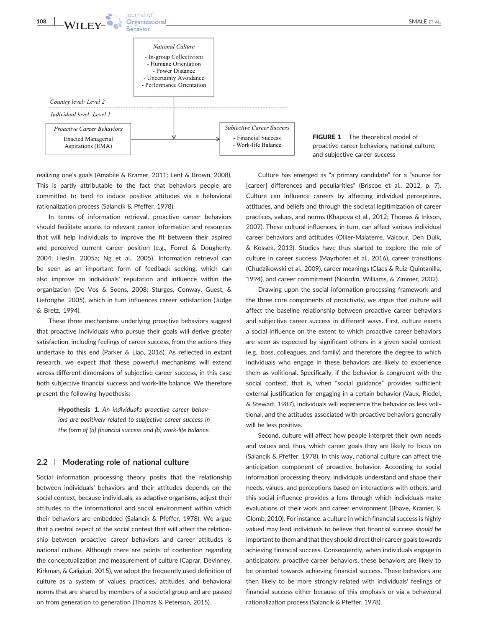

realizing one's goals (Amabile & Kramer, 2011; Lent & Brown, 2008). This is partly attributable to the fact that behaviors people are committed to tend to induce positive attitudes via a behavioral rationalization process (Salancik & Pfeffer, 1978).

In terms of information retrieval, proactive career behaviors should facilitate access to relevant career information and resources that will help individuals to improve the fit between their aspired and perceived current career position (e.g., Forret & Dougherty, 2004; Heslin, 2005a; Ng et al., 2005). Information retrieval can be seen as an important form of feedback seeking, which can also improve an individuals' reputation and influence within the organization (De Vos & Soens, 2008; Sturges, Conway, Guest, & Liefooghe, 2005), which in turn influences career satisfaction (Judge & Bretz, 1994).

These three mechanisms underlying proactive behaviors suggest that proactive individuals who pursue their goals will derive greater satisfaction, including feelings of career success, from the actions they undertake to this end (Parker & Liao, 2016). As reflected in extant research, we expect that these powerful mechanisms will extend across different dimensions of subjective career success, in this case both subjective financial success and work‐life balance. We therefore present the following hypothesis:

> Hypothesis 1. An individual's proactive career behaviors are positively related to subjective career success in the form of (a) financial success and (b) work‐life balance.

#### 2.2 | Moderating role of national culture

Social information processing theory posits that the relationship between individuals' behaviors and their attitudes depends on the social context, because individuals, as adaptive organisms, adjust their attitudes to the informational and social environment within which their behaviors are embedded (Salancik & Pfeffer, 1978). We argue that a central aspect of the social context that will affect the relationship between proactive career behaviors and career attitudes is national culture. Although there are points of contention regarding the conceptualization and measurement of culture (Caprar, Devinney, Kirkman, & Caligiuri, 2015), we adopt the frequently used definition of culture as a system of values, practices, attitudes, and behavioral norms that are shared by members of a societal group and are passed on from generation to generation (Thomas & Peterson, 2015).

Culture has emerged as "a primary candidate" for a "source for [career] differences and peculiarities" (Briscoe et al., 2012, p. 7). Culture can influence careers by affecting individual perceptions, attitudes, and beliefs and through the societal legitimization of career practices, values, and norms (Khapova et al., 2012; Thomas & Inkson, 2007). These cultural influences, in turn, can affect various individual career behaviors and attitudes (Ollier‐Malaterre, Valcour, Den Dulk, & Kossek, 2013). Studies have thus started to explore the role of culture in career success (Mayrhofer et al., 2016), career transitions (Chudzikowski et al., 2009), career meanings (Claes & Ruiz‐Quintanilla, 1994), and career commitment (Noordin, Williams, & Zimmer, 2002).

Drawing upon the social information processing framework and the three core components of proactivity, we argue that culture will affect the baseline relationship between proactive career behaviors and subjective career success in different ways. First, culture exerts a social influence on the extent to which proactive career behaviors are seen as expected by significant others in a given social context (e.g., boss, colleagues, and family) and therefore the degree to which individuals who engage in these behaviors are likely to experience them as volitional. Specifically, if the behavior is congruent with the social context, that is, when "social guidance" provides sufficient external justification for engaging in a certain behavior (Vaux, Riedel, & Stewart, 1987), individuals will experience the behavior as less volitional, and the attitudes associated with proactive behaviors generally will be less positive.

Second, culture will affect how people interpret their own needs and values and, thus, which career goals they are likely to focus on (Salancik & Pfeffer, 1978). In this way, national culture can affect the anticipation component of proactive behavior. According to social information processing theory, individuals understand and shape their needs, values, and perceptions based on interactions with others, and this social influence provides a lens through which individuals make evaluations of their work and career environment (Bhave, Kramer, & Glomb, 2010). For instance, a culture in which financial success is highly valued may lead individuals to believe that financial success should be important to them and that they should direct their career goals towards achieving financial success. Consequently, when individuals engage in anticipatory, proactive career behaviors, these behaviors are likely to be oriented towards achieving financial success. These behaviors are then likely to be more strongly related with individuals' feelings of financial success either because of this emphasis or via a behavioral rationalization process (Salancik & Pfeffer, 1978).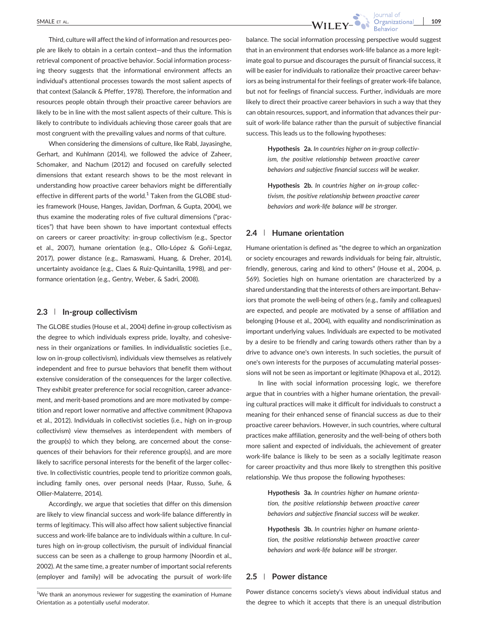Third, culture will affect the kind of information and resources people are likely to obtain in a certain context—and thus the information retrieval component of proactive behavior. Social information processing theory suggests that the informational environment affects an individual's attentional processes towards the most salient aspects of that context (Salancik & Pfeffer, 1978). Therefore, the information and resources people obtain through their proactive career behaviors are likely to be in line with the most salient aspects of their culture. This is likely to contribute to individuals achieving those career goals that are most congruent with the prevailing values and norms of that culture.

When considering the dimensions of culture, like Rabl, Jayasinghe, Gerhart, and Kuhlmann (2014), we followed the advice of Zaheer, Schomaker, and Nachum (2012) and focused on carefully selected dimensions that extant research shows to be the most relevant in understanding how proactive career behaviors might be differentially effective in different parts of the world.<sup>1</sup> Taken from the GLOBE studies framework (House, Hanges, Javidan, Dorfman, & Gupta, 2004), we thus examine the moderating roles of five cultural dimensions ("practices") that have been shown to have important contextual effects on careers or career proactivity: in‐group collectivism (e.g., Spector et al., 2007), humane orientation (e.g., Ollo‐López & Goñi‐Legaz, 2017), power distance (e.g., Ramaswami, Huang, & Dreher, 2014), uncertainty avoidance (e.g., Claes & Ruiz‐Quintanilla, 1998), and performance orientation (e.g., Gentry, Weber, & Sadri, 2008).

#### 2.3 | In‐group collectivism

The GLOBE studies (House et al., 2004) define in‐group collectivism as the degree to which individuals express pride, loyalty, and cohesiveness in their organizations or families. In individualistic societies (i.e., low on in‐group collectivism), individuals view themselves as relatively independent and free to pursue behaviors that benefit them without extensive consideration of the consequences for the larger collective. They exhibit greater preference for social recognition, career advancement, and merit‐based promotions and are more motivated by competition and report lower normative and affective commitment (Khapova et al., 2012). Individuals in collectivist societies (i.e., high on in‐group collectivism) view themselves as interdependent with members of the group(s) to which they belong, are concerned about the consequences of their behaviors for their reference group(s), and are more likely to sacrifice personal interests for the benefit of the larger collective. In collectivistic countries, people tend to prioritize common goals, including family ones, over personal needs (Haar, Russo, Suñe, & Ollier‐Malaterre, 2014).

Accordingly, we argue that societies that differ on this dimension are likely to view financial success and work‐life balance differently in terms of legitimacy. This will also affect how salient subjective financial success and work‐life balance are to individuals within a culture. In cultures high on in‐group collectivism, the pursuit of individual financial success can be seen as a challenge to group harmony (Noordin et al., 2002). At the same time, a greater number of important social referents (employer and family) will be advocating the pursuit of work‐life

 $1$ We thank an anonymous reviewer for suggesting the examination of Humane Orientation as a potentially useful moderator.



balance. The social information processing perspective would suggest that in an environment that endorses work‐life balance as a more legitimate goal to pursue and discourages the pursuit of financial success, it will be easier for individuals to rationalize their proactive career behaviors as being instrumental for their feelings of greater work‐life balance, but not for feelings of financial success. Further, individuals are more likely to direct their proactive career behaviors in such a way that they can obtain resources, support, and information that advances their pursuit of work‐life balance rather than the pursuit of subjective financial success. This leads us to the following hypotheses:

> Hypothesis 2a. In countries higher on in-group collectivism, the positive relationship between proactive career behaviors and subjective financial success will be weaker.

> Hypothesis 2b. In countries higher on in-group collectivism, the positive relationship between proactive career behaviors and work‐life balance will be stronger.

#### 2.4 | Humane orientation

Humane orientation is defined as "the degree to which an organization or society encourages and rewards individuals for being fair, altruistic, friendly, generous, caring and kind to others" (House et al., 2004, p. 569). Societies high on humane orientation are characterized by a shared understanding that the interests of others are important. Behaviors that promote the well‐being of others (e.g., family and colleagues) are expected, and people are motivated by a sense of affiliation and belonging (House et al., 2004), with equality and nondiscrimination as important underlying values. Individuals are expected to be motivated by a desire to be friendly and caring towards others rather than by a drive to advance one's own interests. In such societies, the pursuit of one's own interests for the purposes of accumulating material possessions will not be seen as important or legitimate (Khapova et al., 2012).

In line with social information processing logic, we therefore argue that in countries with a higher humane orientation, the prevailing cultural practices will make it difficult for individuals to construct a meaning for their enhanced sense of financial success as due to their proactive career behaviors. However, in such countries, where cultural practices make affiliation, generosity and the well‐being of others both more salient and expected of individuals, the achievement of greater work‐life balance is likely to be seen as a socially legitimate reason for career proactivity and thus more likely to strengthen this positive relationship. We thus propose the following hypotheses:

> Hypothesis 3a. In countries higher on humane orientation, the positive relationship between proactive career behaviors and subjective financial success will be weaker.

> Hypothesis 3b. In countries higher on humane orientation, the positive relationship between proactive career behaviors and work‐life balance will be stronger.

#### 2.5 | Power distance

Power distance concerns society's views about individual status and the degree to which it accepts that there is an unequal distribution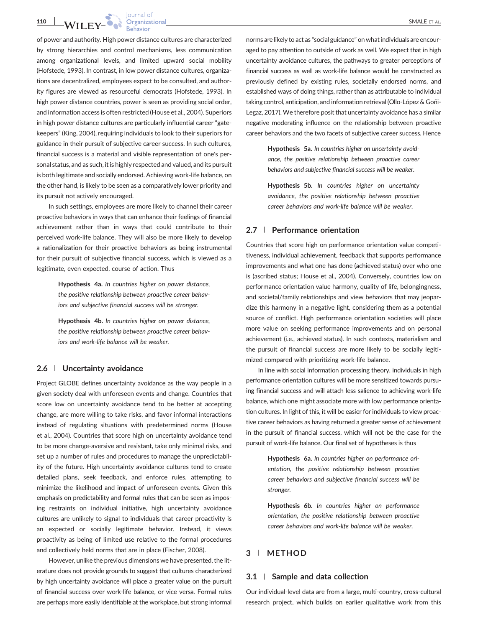110 WILEY- WE SMALE ET AL.

of power and authority. High power distance cultures are characterized by strong hierarchies and control mechanisms, less communication among organizational levels, and limited upward social mobility (Hofstede, 1993). In contrast, in low power distance cultures, organizations are decentralized, employees expect to be consulted, and authority figures are viewed as resourceful democrats (Hofstede, 1993). In high power distance countries, power is seen as providing social order, and information access is often restricted (House et al., 2004). Superiors in high power distance cultures are particularly influential career "gatekeepers" (King, 2004), requiring individuals to look to their superiors for guidance in their pursuit of subjective career success. In such cultures, financial success is a material and visible representation of one's personal status, and as such, it is highly respected and valued, and its pursuit is both legitimate and socially endorsed. Achieving work‐life balance, on the other hand, is likely to be seen as a comparatively lower priority and its pursuit not actively encouraged.

In such settings, employees are more likely to channel their career proactive behaviors in ways that can enhance their feelings of financial achievement rather than in ways that could contribute to their perceived work‐life balance. They will also be more likely to develop a rationalization for their proactive behaviors as being instrumental for their pursuit of subjective financial success, which is viewed as a legitimate, even expected, course of action. Thus

> Hypothesis 4a. In countries higher on power distance, the positive relationship between proactive career behaviors and subjective financial success will be stronger.

> Hypothesis 4b. In countries higher on power distance, the positive relationship between proactive career behaviors and work‐life balance will be weaker.

#### 2.6 | Uncertainty avoidance

Project GLOBE defines uncertainty avoidance as the way people in a given society deal with unforeseen events and change. Countries that score low on uncertainty avoidance tend to be better at accepting change, are more willing to take risks, and favor informal interactions instead of regulating situations with predetermined norms (House et al., 2004). Countries that score high on uncertainty avoidance tend to be more change‐aversive and resistant, take only minimal risks, and set up a number of rules and procedures to manage the unpredictability of the future. High uncertainty avoidance cultures tend to create detailed plans, seek feedback, and enforce rules, attempting to minimize the likelihood and impact of unforeseen events. Given this emphasis on predictability and formal rules that can be seen as imposing restraints on individual initiative, high uncertainty avoidance cultures are unlikely to signal to individuals that career proactivity is an expected or socially legitimate behavior. Instead, it views proactivity as being of limited use relative to the formal procedures and collectively held norms that are in place (Fischer, 2008).

However, unlike the previous dimensions we have presented, the literature does not provide grounds to suggest that cultures characterized by high uncertainty avoidance will place a greater value on the pursuit of financial success over work‐life balance, or vice versa. Formal rules are perhaps more easily identifiable at the workplace, but strong informal norms are likely to act as "social guidance" on what individuals are encouraged to pay attention to outside of work as well. We expect that in high uncertainty avoidance cultures, the pathways to greater perceptions of financial success as well as work‐life balance would be constructed as previously defined by existing rules, societally endorsed norms, and established ways of doing things, rather than as attributable to individual taking control, anticipation, and information retrieval (Ollo‐López & Goñi‐ Legaz, 2017). We therefore posit that uncertainty avoidance has a similar negative moderating influence on the relationship between proactive career behaviors and the two facets of subjective career success. Hence

> Hypothesis 5a. In countries higher on uncertainty avoidance, the positive relationship between proactive career behaviors and subjective financial success will be weaker.

> Hypothesis 5b. In countries higher on uncertainty avoidance, the positive relationship between proactive career behaviors and work‐life balance will be weaker.

#### 2.7 | Performance orientation

Countries that score high on performance orientation value competitiveness, individual achievement, feedback that supports performance improvements and what one has done (achieved status) over who one is (ascribed status; House et al., 2004). Conversely, countries low on performance orientation value harmony, quality of life, belongingness, and societal/family relationships and view behaviors that may jeopardize this harmony in a negative light, considering them as a potential source of conflict. High performance orientation societies will place more value on seeking performance improvements and on personal achievement (i.e., achieved status). In such contexts, materialism and the pursuit of financial success are more likely to be socially legitimized compared with prioritizing work‐life balance.

In line with social information processing theory, individuals in high performance orientation cultures will be more sensitized towards pursuing financial success and will attach less salience to achieving work‐life balance, which one might associate more with low performance orientation cultures. In light of this, it will be easier for individuals to view proactive career behaviors as having returned a greater sense of achievement in the pursuit of financial success, which will not be the case for the pursuit of work‐life balance. Our final set of hypotheses is thus

> Hypothesis 6a. In countries higher on performance orientation, the positive relationship between proactive career behaviors and subjective financial success will be stronger.

> Hypothesis 6b. In countries higher on performance orientation, the positive relationship between proactive career behaviors and work‐life balance will be weaker.

#### 3 | METHOD

#### 3.1 | Sample and data collection

Our individual‐level data are from a large, multi‐country, cross‐cultural research project, which builds on earlier qualitative work from this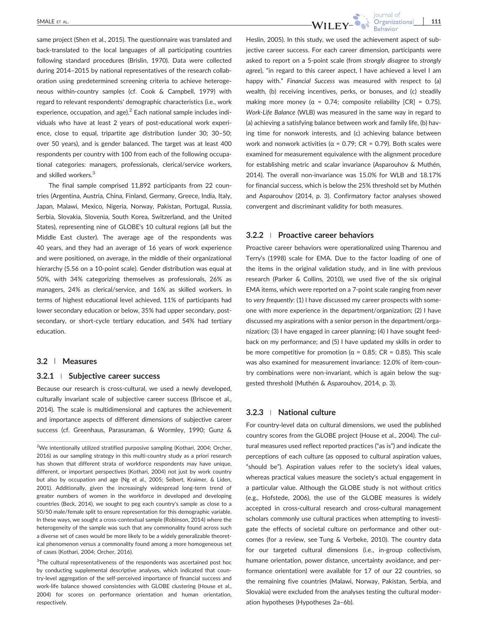same project (Shen et al., 2015). The questionnaire was translated and back‐translated to the local languages of all participating countries following standard procedures (Brislin, 1970). Data were collected during 2014–2015 by national representatives of the research collaboration using predetermined screening criteria to achieve heterogeneous within‐country samples (cf. Cook & Campbell, 1979) with regard to relevant respondents' demographic characteristics (i.e., work experience, occupation, and age).<sup>2</sup> Each national sample includes individuals who have at least 2 years of post‐educational work experience, close to equal, tripartite age distribution (under 30; 30–50; over 50 years), and is gender balanced. The target was at least 400 respondents per country with 100 from each of the following occupational categories: managers, professionals, clerical/service workers, and skilled workers.<sup>3</sup>

The final sample comprised 11,892 participants from 22 countries (Argentina, Austria, China, Finland, Germany, Greece, India, Italy, Japan, Malawi, Mexico, Nigeria, Norway, Pakistan, Portugal, Russia, Serbia, Slovakia, Slovenia, South Korea, Switzerland, and the United States), representing nine of GLOBE's 10 cultural regions (all but the Middle East cluster). The average age of the respondents was 40 years, and they had an average of 16 years of work experience and were positioned, on average, in the middle of their organizational hierarchy (5.56 on a 10‐point scale). Gender distribution was equal at 50%, with 34% categorizing themselves as professionals, 26% as managers, 24% as clerical/service, and 16% as skilled workers. In terms of highest educational level achieved, 11% of participants had lower secondary education or below, 35% had upper secondary, postsecondary, or short-cycle tertiary education, and 54% had tertiary education.

#### 3.2 | Measures

#### 3.2.1 <sup>|</sup> Subjective career success

Because our research is cross-cultural, we used a newly developed, culturally invariant scale of subjective career success (Briscoe et al., 2014). The scale is multidimensional and captures the achievement and importance aspects of different dimensions of subjective career success (cf. Greenhaus, Parasuraman, & Wormley, 1990; Gunz &

 ${}^{3}$ The cultural representativeness of the respondents was ascertained post hoc by conducting supplemental descriptive analyses, which indicated that country‐level aggregation of the self‐perceived importance of financial success and work‐life balance showed consistencies with GLOBE clustering (House et al., 2004) for scores on performance orientation and human orientation, respectively.



Heslin, 2005). In this study, we used the achievement aspect of subjective career success. For each career dimension, participants were asked to report on a 5‐point scale (from strongly disagree to strongly agree), "in regard to this career aspect, I have achieved a level I am happy with." Financial Success was measured with respect to (a) wealth, (b) receiving incentives, perks, or bonuses, and (c) steadily making more money ( $\alpha = 0.74$ ; composite reliability [CR] = 0.75). Work‐Life Balance (WLB) was measured in the same way in regard to (a) achieving a satisfying balance between work and family life, (b) having time for nonwork interests, and (c) achieving balance between work and nonwork activities ( $α = 0.79$ ; CR = 0.79). Both scales were examined for measurement equivalence with the alignment procedure for establishing metric and scalar invariance (Asparouhov & Muthén, 2014). The overall non‐invariance was 15.0% for WLB and 18.17% for financial success, which is below the 25% threshold set by Muthén and Asparouhov (2014, p. 3). Confirmatory factor analyses showed convergent and discriminant validity for both measures.

#### 3.2.2 <sup>|</sup> Proactive career behaviors

Proactive career behaviors were operationalized using Tharenou and Terry's (1998) scale for EMA. Due to the factor loading of one of the items in the original validation study, and in line with previous research (Parker & Collins, 2010), we used five of the six original EMA items, which were reported on a 7‐point scale ranging from never to very frequently: (1) I have discussed my career prospects with someone with more experience in the department/organization; (2) I have discussed my aspirations with a senior person in the department/organization; (3) I have engaged in career planning; (4) I have sought feedback on my performance; and (5) I have updated my skills in order to be more competitive for promotion ( $\alpha$  = 0.85; CR = 0.85). This scale was also examined for measurement invariance: 12.0% of item‐country combinations were non‐invariant, which is again below the suggested threshold (Muthén & Asparouhov, 2014, p. 3).

#### 3.2.3 <sup>|</sup> National culture

For country‐level data on cultural dimensions, we used the published country scores from the GLOBE project (House et al., 2004). The cultural measures used reflect reported practices ("as is") and indicate the perceptions of each culture (as opposed to cultural aspiration values, "should be"). Aspiration values refer to the society's ideal values, whereas practical values measure the society's actual engagement in a particular value. Although the GLOBE study is not without critics (e.g., Hofstede, 2006), the use of the GLOBE measures is widely accepted in cross‐cultural research and cross‐cultural management scholars commonly use cultural practices when attempting to investigate the effects of societal culture on performance and other outcomes (for a review, see Tung & Verbeke, 2010). The country data for our targeted cultural dimensions (i.e., in‐group collectivism, humane orientation, power distance, uncertainty avoidance, and performance orientation) were available for 17 of our 22 countries, so the remaining five countries (Malawi, Norway, Pakistan, Serbia, and Slovakia) were excluded from the analyses testing the cultural moderation hypotheses (Hypotheses 2a–6b).

<sup>&</sup>lt;sup>2</sup>We intentionally utilized stratified purposive sampling (Kothari, 2004; Orcher, 2016) as our sampling strategy in this multi‐country study as a priori research has shown that different strata of workforce respondents may have unique, different, or important perspectives (Kothari, 2004) not just by work country but also by occupation and age (Ng et al., 2005; Seibert, Kraimer, & Liden, 2001). Additionally, given the increasingly widespread long-term trend of greater numbers of women in the workforce in developed and developing countries (Beck, 2014), we sought to peg each country's sample as close to a 50/50 male/female split to ensure representation for this demographic variable. In these ways, we sought a cross-contextual sample (Robinson, 2014) where the heterogeneity of the sample was such that any commonality found across such a diverse set of cases would be more likely to be a widely generalizable theoretical phenomenon versus a commonality found among a more homogeneous set of cases (Kothari, 2004; Orcher, 2016).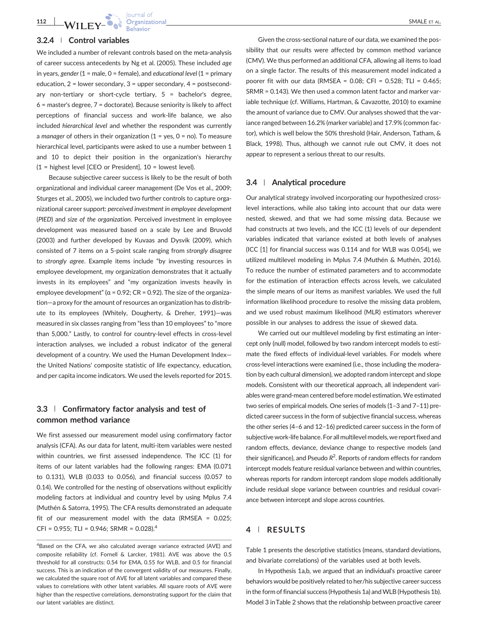**112 WII FV-Organizational** SMALE ET AL.

#### 3.2.4 <sup>|</sup> Control variables

We included a number of relevant controls based on the meta-analysis of career success antecedents by Ng et al. (2005). These included age in years, gender  $(1 =$  male,  $0 =$  female), and educational level  $(1 =$  primary education,  $2 =$  lower secondary,  $3 =$  upper secondary,  $4 =$  postsecondary non-tertiary or short-cycle tertiary,  $5 =$  bachelor's degree, 6 = master's degree, 7 = doctorate). Because seniority is likely to affect perceptions of financial success and work‐life balance, we also included hierarchical level and whether the respondent was currently a manager of others in their organization  $(1 = yes, 0 = no)$ . To measure hierarchical level, participants were asked to use a number between 1 and 10 to depict their position in the organization's hierarchy (1 = highest level [CEO or President], 10 = lowest level).

Because subjective career success is likely to be the result of both organizational and individual career management (De Vos et al., 2009; Sturges et al., 2005), we included two further controls to capture organizational career support: perceived investment in employee development (PIED) and size of the organization. Perceived investment in employee development was measured based on a scale by Lee and Bruvold (2003) and further developed by Kuvaas and Dysvik (2009), which consisted of 7 items on a 5‐point scale ranging from strongly disagree to strongly agree. Example items include "by investing resources in employee development, my organization demonstrates that it actually invests in its employees" and "my organization invests heavily in employee development" ( $\alpha$  = 0.92; CR = 0.92). The size of the organization—a proxy for the amount of resources an organization has to distribute to its employees (Whitely, Dougherty, & Dreher, 1991)—was measured in six classes ranging from "less than 10 employees" to "more than 5,000." Lastly, to control for country‐level effects in cross‐level interaction analyses, we included a robust indicator of the general development of a country. We used the Human Development Index the United Nations' composite statistic of life expectancy, education, and per capita income indicators. We used the levels reported for 2015.

## 3.3 | Confirmatory factor analysis and test of common method variance

We first assessed our measurement model using confirmatory factor analysis (CFA). As our data for latent, multi‐item variables were nested within countries, we first assessed independence. The ICC (1) for items of our latent variables had the following ranges: EMA (0.071 to 0.131), WLB (0.033 to 0.056), and financial success (0.057 to 0.14). We controlled for the nesting of observations without explicitly modeling factors at individual and country level by using Mplus 7.4 (Muthén & Satorra, 1995). The CFA results demonstrated an adequate fit of our measurement model with the data (RMSEA = 0.025; CFI =  $0.955$ ; TLI =  $0.946$ ; SRMR =  $0.028$ ).<sup>4</sup>

Given the cross‐sectional nature of our data, we examined the possibility that our results were affected by common method variance (CMV). We thus performed an additional CFA, allowing all items to load on a single factor. The results of this measurement model indicated a poorer fit with our data (RMSEA =  $0.08$ ; CFI =  $0.528$ ; TLI =  $0.465$ ; SRMR = 0.143). We then used a common latent factor and marker variable technique (cf. Williams, Hartman, & Cavazotte, 2010) to examine the amount of variance due to CMV. Our analyses showed that the variance ranged between 16.2% (marker variable) and 17.9% (common factor), which is well below the 50% threshold (Hair, Anderson, Tatham, & Black, 1998). Thus, although we cannot rule out CMV, it does not appear to represent a serious threat to our results.

#### 3.4 | Analytical procedure

Our analytical strategy involved incorporating our hypothesized cross‐ level interactions, while also taking into account that our data were nested, skewed, and that we had some missing data. Because we had constructs at two levels, and the ICC (1) levels of our dependent variables indicated that variance existed at both levels of analyses (ICC [1] for financial success was 0.114 and for WLB was 0.054), we utilized multilevel modeling in Mplus 7.4 (Muthén & Muthén, 2016). To reduce the number of estimated parameters and to accommodate for the estimation of interaction effects across levels, we calculated the simple means of our items as manifest variables. We used the full information likelihood procedure to resolve the missing data problem, and we used robust maximum likelihood (MLR) estimators wherever possible in our analyses to address the issue of skewed data.

We carried out our multilevel modeling by first estimating an intercept only (null) model, followed by two random intercept models to estimate the fixed effects of individual-level variables. For models where cross‐level interactions were examined (i.e., those including the moderation by each cultural dimension), we adopted random intercept and slope models. Consistent with our theoretical approach, all independent variables were grand‐mean centered before model estimation.We estimated two series of empirical models. One series of models (1–3 and 7–11) predicted career success in the form of subjective financial success, whereas the other series (4–6 and 12–16) predicted career success in the form of subjective work‐life balance. For all multilevel models, we report fixed and random effects, deviance, deviance change to respective models (and their significance), and Pseudo  $R^2$ . Reports of random effects for random intercept models feature residual variance between and within countries, whereas reports for random intercept random slope models additionally include residual slope variance between countries and residual covariance between intercept and slope across countries.

### 4 | RESULTS

Table 1 presents the descriptive statistics (means, standard deviations, and bivariate correlations) of the variables used at both levels.

In Hypothesis 1a,b, we argued that an individual's proactive career behaviors would be positively related to her/his subjective career success in the form of financial success (Hypothesis 1a) and WLB (Hypothesis 1b). Model 3 inTable 2 shows that the relationship between proactive career

<sup>&</sup>lt;sup>4</sup>Based on the CFA, we also calculated average variance extracted (AVE) and composite reliability (cf. Fornell & Larcker, 1981). AVE was above the 0.5 threshold for all constructs: 0.54 for EMA, 0.55 for WLB, and 0.5 for financial success. This is an indication of the convergent validity of our measures. Finally, we calculated the square root of AVE for all latent variables and compared these values to correlations with other latent variables. All square roots of AVE were higher than the respective correlations, demonstrating support for the claim that our latent variables are distinct.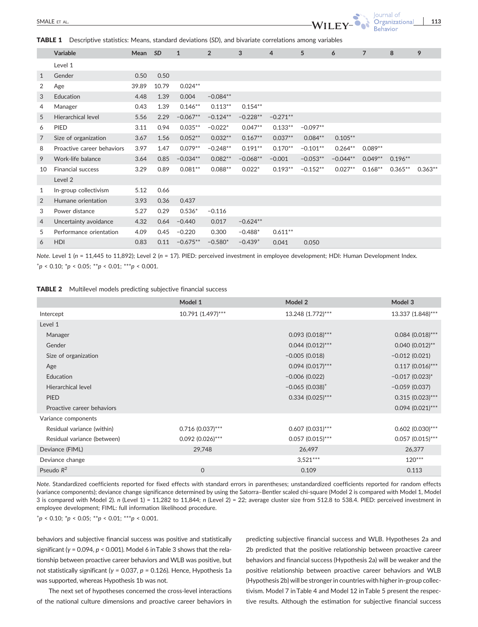TABLE 1 Descriptive statistics: Means, standard deviations (SD), and bivariate correlations among variables

|                | Variable                   | Mean  | <b>SD</b> | $\mathbf{1}$ | $\overline{2}$ | 3            | 4          | 5          | 6          | $\overline{7}$ | 8         | 9         |
|----------------|----------------------------|-------|-----------|--------------|----------------|--------------|------------|------------|------------|----------------|-----------|-----------|
|                | Level 1                    |       |           |              |                |              |            |            |            |                |           |           |
| $\mathbf{1}$   | Gender                     | 0.50  | 0.50      |              |                |              |            |            |            |                |           |           |
| 2              | Age                        | 39.89 | 10.79     | $0.024**$    |                |              |            |            |            |                |           |           |
| 3              | Education                  | 4.48  | 1.39      | 0.004        | $-0.084**$     |              |            |            |            |                |           |           |
| 4              | Manager                    | 0.43  | 1.39      | $0.146**$    | $0.113**$      | $0.154***$   |            |            |            |                |           |           |
| 5              | <b>Hierarchical level</b>  | 5.56  | 2.29      | $-0.067**$   | $-0.124**$     | $-0.228**$   | $-0.271**$ |            |            |                |           |           |
| 6              | <b>PIED</b>                | 3.11  | 0.94      | $0.035**$    | $-0.022*$      | $0.047**$    | $0.133**$  | $-0.097**$ |            |                |           |           |
| $\overline{7}$ | Size of organization       | 3.67  | 1.56      | $0.052**$    | $0.032**$      | $0.167**$    | $0.037**$  | $0.084**$  | $0.105**$  |                |           |           |
| 8              | Proactive career behaviors | 3.97  | 1.47      | $0.079**$    | $-0.248**$     | $0.191**$    | $0.170**$  | $-0.101**$ | $0.264**$  | $0.089**$      |           |           |
| 9              | Work-life balance          | 3.64  | 0.85      | $-0.034**$   | $0.082**$      | $-0.068**$   | $-0.001$   | $-0.053**$ | $-0.044**$ | $0.049**$      | $0.196**$ |           |
| 10             | <b>Financial success</b>   | 3.29  | 0.89      | $0.081**$    | $0.088**$      | $0.022*$     | $0.193**$  | $-0.152**$ | $0.027**$  | $0.168**$      | $0.365**$ | $0.363**$ |
|                | Level 2                    |       |           |              |                |              |            |            |            |                |           |           |
| 1              | In-group collectivism      | 5.12  | 0.66      |              |                |              |            |            |            |                |           |           |
| $\overline{2}$ | Humane orientation         | 3.93  | 0.36      | 0.437        |                |              |            |            |            |                |           |           |
| 3              | Power distance             | 5.27  | 0.29      | $0.536*$     | $-0.116$       |              |            |            |            |                |           |           |
| 4              | Uncertainty avoidance      | 4.32  | 0.64      | $-0.440$     | 0.017          | $-0.624**$   |            |            |            |                |           |           |
| 5              | Performance orientation    | 4.09  | 0.45      | $-0.220$     | 0.300          | $-0.488*$    | $0.611**$  |            |            |                |           |           |
| 6              | <b>HDI</b>                 | 0.83  | 0.11      | $-0.675**$   | $-0.580*$      | $-0.439^{+}$ | 0.041      | 0.050      |            |                |           |           |

Note. Level 1 (n = 11,445 to 11,892); Level 2 (n = 17). PIED: perceived investment in employee development; HDI: Human Development Index.  $^{+}p$  < 0.10;  $^{*}p$  < 0.05;  $^{**}p$  < 0.01;  $^{***}p$  < 0.001.

| <b>TABLE 2</b> Multilevel models predicting subjective financial success |  |  |  |  |
|--------------------------------------------------------------------------|--|--|--|--|
|--------------------------------------------------------------------------|--|--|--|--|

|                             | Model 1            | Model 2               | Model 3             |
|-----------------------------|--------------------|-----------------------|---------------------|
| Intercept                   | 10.791 (1.497)***  | 13.248 (1.772)***     | 13.337 (1.848)***   |
| Level 1                     |                    |                       |                     |
| Manager                     |                    | $0.093(0.018)$ ***    | $0.084$ (0.018)***  |
| Gender                      |                    | $0.044$ $(0.012)$ *** | $0.040(0.012)$ **   |
| Size of organization        |                    | $-0.005(0.018)$       | $-0.012(0.021)$     |
| Age                         |                    | $0.094$ $(0.017)$ *** | $0.117(0.016)$ ***  |
| Education                   |                    | $-0.006(0.022)$       | $-0.017(0.023)^{*}$ |
| Hierarchical level          |                    | $-0.065(0.038)^+$     | $-0.059(0.037)$     |
| <b>PIED</b>                 |                    | $0.334(0.025)$ ***    | $0.315(0.023)$ ***  |
| Proactive career behaviors  |                    |                       | $0.094(0.021)$ ***  |
| Variance components         |                    |                       |                     |
| Residual variance (within)  | $0.716$ (0.037)*** | $0.607(0.031)$ ***    | $0.602$ (0.030)***  |
| Residual variance (between) | $0.092(0.026)$ *** | $0.057$ (0.015)***    | $0.057(0.015)$ ***  |
| Deviance (FIML)             | 29,748             | 26,497                | 26,377              |
| Deviance change             |                    | $3,521***$            | $120***$            |
| Pseudo $R^2$                | $\mathbf 0$        | 0.109                 | 0.113               |

Note. Standardized coefficients reported for fixed effects with standard errors in parentheses; unstandardized coefficients reported for random effects (variance components); deviance change significance determined by using the Satorra–Bentler scaled chi‐square (Model 2 is compared with Model 1, Model 3 is compared with Model 2). n (Level 1) = 11,282 to 11,844; n (Level 2) = 22; average cluster size from 512.8 to 538.4. PIED: perceived investment in employee development; FIML: full information likelihood procedure.

 $^{+}p$  < 0.10;  $^{*}p$  < 0.05;  $^{**}p$  < 0.01;  $^{***}p$  < 0.001.

behaviors and subjective financial success was positive and statistically significant ( $y = 0.094$ ,  $p < 0.001$ ). Model 6 in Table 3 shows that the relationship between proactive career behaviors and WLB was positive, but not statistically significant (γ = 0.037,  $p$  = 0.126). Hence, Hypothesis 1a was supported, whereas Hypothesis 1b was not.

The next set of hypotheses concerned the cross‐level interactions of the national culture dimensions and proactive career behaviors in predicting subjective financial success and WLB. Hypotheses 2a and 2b predicted that the positive relationship between proactive career behaviors and financial success (Hypothesis 2a) will be weaker and the positive relationship between proactive career behaviors and WLB (Hypothesis 2b) will be stronger in countries with higher in‐group collectivism. Model 7 in Table 4 and Model 12 in Table 5 present the respective results. Although the estimation for subjective financial success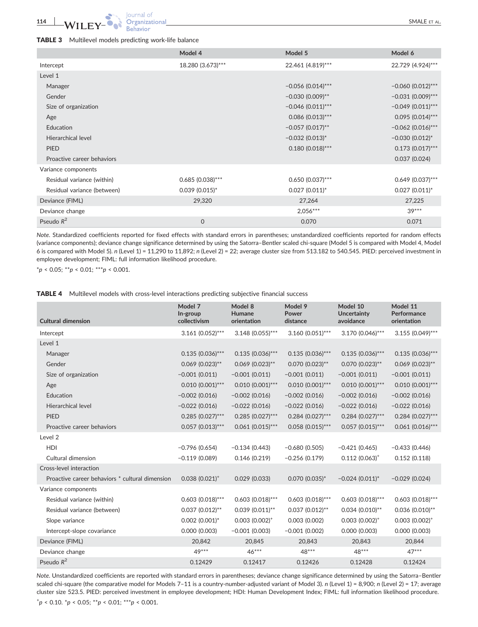|                             | Model 4            | Model 5             | Model 6             |
|-----------------------------|--------------------|---------------------|---------------------|
| Intercept                   | 18.280 (3.673)***  | 22.461 (4.819)***   | 22.729 (4.924)***   |
| Level 1                     |                    |                     |                     |
| Manager                     |                    | $-0.056$ (0.014)*** | $-0.060(0.012)$ *** |
| Gender                      |                    | $-0.030(0.009)$ **  | $-0.031(0.009)$ *** |
| Size of organization        |                    | $-0.046$ (0.011)*** | $-0.049$ (0.011)*** |
| Age                         |                    | $0.086$ (0.013)***  | $0.095(0.014)$ ***  |
| Education                   |                    | $-0.057(0.017)$ **  | $-0.062$ (0.016)*** |
| Hierarchical level          |                    | $-0.032(0.013)^{*}$ | $-0.030(0.012)^{*}$ |
| <b>PIED</b>                 |                    | $0.180(0.018)$ ***  | $0.173(0.017)$ ***  |
| Proactive career behaviors  |                    |                     | 0.037(0.024)        |
| Variance components         |                    |                     |                     |
| Residual variance (within)  | $0.685(0.038)$ *** | $0.650(0.037)$ ***  | $0.649$ (0.037)***  |
| Residual variance (between) | $0.039$ (0.015)*   | $0.027(0.011)^{*}$  | $0.027$ (0.011)*    |
| Deviance (FIML)             | 29,320             | 27,264              | 27,225              |
| Deviance change             |                    | $2,056***$          | $39***$             |
| Pseudo $R^2$                | $\mathbf 0$        | 0.070               | 0.071               |

Note. Standardized coefficients reported for fixed effects with standard errors in parentheses; unstandardized coefficients reported for random effects (variance components); deviance change significance determined by using the Satorra–Bentler scaled chi‐square (Model 5 is compared with Model 4, Model 6 is compared with Model 5). n (Level 1) = 11,290 to 11,892; n (Level 2) = 22; average cluster size from 513.182 to 540.545. PIED: perceived investment in employee development; FIML: full information likelihood procedure.

 $*_{p}$  < 0.05;  $*_{p}$  < 0.01;  $**_{p}$  < 0.001.

|  | <b>TABLE 4</b> Multilevel models with cross-level interactions predicting subjective financial success |  |  |  |  |  |  |
|--|--------------------------------------------------------------------------------------------------------|--|--|--|--|--|--|
|--|--------------------------------------------------------------------------------------------------------|--|--|--|--|--|--|

| <b>Cultural dimension</b>                       | Model 7<br>In-group<br>collectivism | Model 8<br>Humane<br>orientation | Model 9<br>Power<br>distance | Model 10<br><b>Uncertainty</b><br>avoidance | Model 11<br>Performance<br>orientation |
|-------------------------------------------------|-------------------------------------|----------------------------------|------------------------------|---------------------------------------------|----------------------------------------|
| Intercept                                       | $3.161 (0.052)$ ***                 | $3.148$ (0.055)***               | $3.160(0.051)$ ***           | 3.170 (0.046)***                            | $3.155(0.049)$ ***                     |
| Level 1                                         |                                     |                                  |                              |                                             |                                        |
| Manager                                         | $0.135(0.036)$ ***                  | $0.135(0.036)$ ***               | $0.135(0.036)$ ***           | $0.135(0.036)$ ***                          | $0.135(0.036)***$                      |
| Gender                                          | $0.069$ (0.023)**                   | $0.069$ (0.023)**                | $0.070(0.023)$ **            | $0.070(0.023)$ **                           | $0.069$ (0.023)**                      |
| Size of organization                            | $-0.001(0.011)$                     | $-0.001(0.011)$                  | $-0.001(0.011)$              | $-0.001(0.011)$                             | $-0.001(0.011)$                        |
| Age                                             | $0.010(0.001)$ ***                  | $0.010(0.001)$ ***               | $0.010(0.001)$ ***           | $0.010(0.001)$ ***                          | $0.010(0.001)$ ***                     |
| Education                                       | $-0.002(0.016)$                     | $-0.002(0.016)$                  | $-0.002(0.016)$              | $-0.002(0.016)$                             | $-0.002(0.016)$                        |
| Hierarchical level                              | $-0.022(0.016)$                     | $-0.022(0.016)$                  | $-0.022(0.016)$              | $-0.022(0.016)$                             | $-0.022(0.016)$                        |
| <b>PIED</b>                                     | $0.285(0.027)$ ***                  | $0.285(0.027)$ ***               | $0.284(0.027)$ ***           | $0.284(0.027)$ ***                          | $0.284(0.027)$ ***                     |
| Proactive career behaviors                      | $0.057(0.013)***$                   | $0.061(0.015)***$                | $0.058(0.015)***$            | $0.057$ (0.015)***                          | $0.061(0.016)***$                      |
| Level 2                                         |                                     |                                  |                              |                                             |                                        |
| HDI                                             | $-0.796(0.654)$                     | $-0.134(0.443)$                  | $-0.680(0.505)$              | $-0.421(0.465)$                             | $-0.433(0.446)$                        |
| Cultural dimension                              | $-0.119(0.089)$                     | 0.146(0.219)                     | $-0.256(0.179)$              | $0.112(0.063)^+$                            | 0.152(0.118)                           |
| Cross-level interaction                         |                                     |                                  |                              |                                             |                                        |
| Proactive career behaviors * cultural dimension | $0.038(0.021)^+$                    | 0.029(0.033)                     | $0.070(0.035)^{*}$           | $-0.024(0.011)^{*}$                         | $-0.029(0.024)$                        |
| Variance components                             |                                     |                                  |                              |                                             |                                        |
| Residual variance (within)                      | $0.603(0.018)$ ***                  | $0.603$ (0.018)***               | $0.603(0.018)$ ***           | $0.603(0.018)$ ***                          | $0.603(0.018)$ ***                     |
| Residual variance (between)                     | $0.037(0.012)$ **                   | $0.039(0.011)$ **                | $0.037(0.012)$ **            | $0.034$ (0.010)**                           | $0.036$ (0.010)**                      |
| Slope variance                                  | $0.002$ (0.001)*                    | $0.003(0.002)^+$                 | 0.003(0.002)                 | $0.003(0.002)^+$                            | $0.003(0.002)^+$                       |
| Intercept-slope covariance                      | 0.000(0.003)                        | $-0.001(0.003)$                  | $-0.001(0.002)$              | 0.000(0.003)                                | 0.000(0.003)                           |
| Deviance (FIML)                                 | 20,842                              | 20,845                           | 20,843                       | 20,843                                      | 20,844                                 |
| Deviance change                                 | 49***                               | $46***$                          | 48***                        | $48***$                                     | $47***$                                |
| Pseudo $R^2$                                    | 0.12429                             | 0.12417                          | 0.12426                      | 0.12428                                     | 0.12424                                |

Note. Unstandardized coefficients are reported with standard errors in parentheses; deviance change significance determined by using the Satorra–Bentler scaled chi-square (the comparative model for Models 7-11 is a country-number-adjusted variant of Model 3). n (Level 1) = 8,900; n (Level 2) = 17; average cluster size 523.5. PIED: perceived investment in employee development; HDI: Human Development Index; FIML: full information likelihood procedure.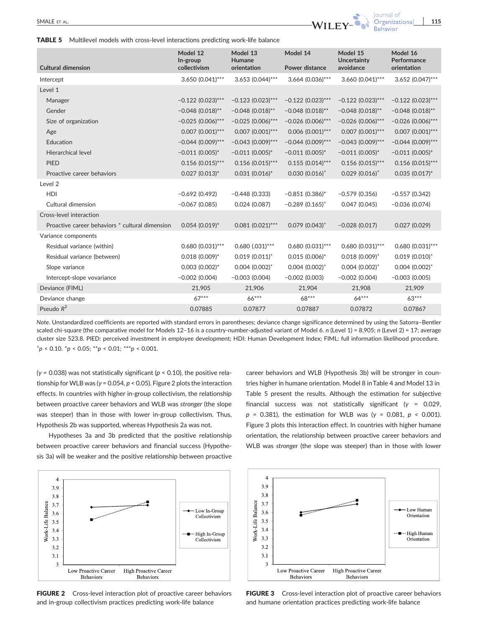TABLE 5 Multilevel models with cross-level interactions predicting work-life balance

| <b>Cultural dimension</b>                       | Model 12<br>In-group<br>collectivism | Model 13<br>Humane<br>orientation | Model 14<br>Power distance | Model 15<br><b>Uncertainty</b><br>avoidance | Model 16<br>Performance<br>orientation |
|-------------------------------------------------|--------------------------------------|-----------------------------------|----------------------------|---------------------------------------------|----------------------------------------|
| Intercept                                       | 3.650 (0.041)***                     | $3.653$ (0.044)***                | 3.664 (0.036)***           | $3.660(0.041)***$                           | 3.652 (0.047)***                       |
| Level 1                                         |                                      |                                   |                            |                                             |                                        |
| Manager                                         | $-0.122(0.023)***$                   | $-0.123(0.023)$ ***               | $-0.122(0.023)***$         | $-0.122(0.023)$ ***                         | $-0.122(0.023)***$                     |
| Gender                                          | $-0.048(0.018)$ **                   | $-0.048(0.018)$ **                | $-0.048(0.018)$ **         | $-0.048(0.018)$ **                          | $-0.048(0.018)$ **                     |
| Size of organization                            | $-0.025(0.006)$ ***                  | $-0.025(0.006)$ ***               | $-0.026(0.006)$ ***        | $-0.026$ (0.006)***                         | $-0.026$ (0.006)***                    |
| Age                                             | $0.007$ $(0.001)$ ***                | $0.007$ $(0.001)$ ***             | $0.006$ $(0.001)$ ***      | $0.007$ $(0.001)$ ***                       | $0.007$ $(0.001)$ ***                  |
| Education                                       | $-0.044(0.009)$ ***                  | $-0.043(0.009)$ ***               | $-0.044$ (0.009)***        | $-0.043(0.009)$ ***                         | $-0.044(0.009)$ ***                    |
| Hierarchical level                              | $-0.011(0.005)^*$                    | $-0.011(0.005)^*$                 | $-0.011(0.005)^*$          | $-0.011(0.005)^*$                           | $-0.011(0.005)^*$                      |
| <b>PIED</b>                                     | $0.156$ (0.015)***                   | $0.156$ (0.015)***                | $0.155(0.014)$ ***         | $0.156$ (0.015)***                          | $0.156$ (0.015)***                     |
| Proactive career behaviors                      | $0.027(0.013)^{*}$                   | $0.031(0.016)^{*}$                | $0.030(0.016)^+$           | $0.029(0.016)^+$                            | $0.035(0.017)^{*}$                     |
| Level <sub>2</sub>                              |                                      |                                   |                            |                                             |                                        |
| <b>HDI</b>                                      | $-0.692(0.492)$                      | $-0.448(0.333)$                   | $-0.851(0.386)^{*}$        | $-0.579(0.356)$                             | $-0.557(0.342)$                        |
| Cultural dimension                              | $-0.067(0.085)$                      | 0.024(0.087)                      | $-0.289(0.165)^+$          | 0.047(0.045)                                | $-0.036(0.074)$                        |
| Cross-level interaction                         |                                      |                                   |                            |                                             |                                        |
| Proactive career behaviors * cultural dimension | $0.054(0.019)^{*}$                   | $0.081(0.021)$ ***                | $0.079$ $(0.043)^+$        | $-0.028(0.017)$                             | 0.027(0.029)                           |
| Variance components                             |                                      |                                   |                            |                                             |                                        |
| Residual variance (within)                      | $0.680(0.031)***$                    | $0.680$ $(.031)***$               | $0.680(0.031)***$          | $0.680(0.031)***$                           | $0.680(0.031)***$                      |
| Residual variance (between)                     | $0.018(0.009)^*$                     | $0.019(0.011)^+$                  | $0.015(0.006)^{*}$         | $0.018(0.009)^+$                            | $0.019$ $(0.010)^+$                    |
| Slope variance                                  | $0.003(0.002)^{*}$                   | $0.004$ $(0.002)^+$               | $0.004$ $(0.002)^+$        | $0.004$ $(0.002)^+$                         | $0.004$ $(0.002)^+$                    |
| Intercept-slope vovariance                      | $-0.002(0.004)$                      | $-0.003(0.004)$                   | $-0.002(0.003)$            | $-0.002(0.004)$                             | $-0.003(0.005)$                        |
| Deviance (FIML)                                 | 21,905                               | 21,906                            | 21,904                     | 21,908                                      | 21,909                                 |
| Deviance change                                 | $67***$                              | $66***$                           | 68***                      | $64***$                                     | $63***$                                |
| Pseudo $R^2$                                    | 0.07885                              | 0.07877                           | 0.07887                    | 0.07872                                     | 0.07867                                |

Note. Unstandardized coefficients are reported with standard errors in parentheses; deviance change significance determined by using the Satorra–Bentler scaled chi-square (the comparative model for Models 12-16 is a country-number-adjusted variant of Model 6. n (Level 1) = 8,905; n (Level 2) = 17; average cluster size 523.8. PIED: perceived investment in employee development; HDI: Human Development Index; FIML: full information likelihood procedure.  $^{+}p$  < 0.10.  $^{*}p$  < 0.05;  $^{**}p$  < 0.01;  $^{***}p$  < 0.001.

( $\gamma$  = 0.038) was not statistically significant ( $p$  < 0.10), the positive relationship for WLB was ( $\gamma$  = 0.054,  $p$  < 0.05). Figure 2 plots the interaction effects. In countries with higher in‐group collectivism, the relationship between proactive career behaviors and WLB was stronger (the slope was steeper) than in those with lower in-group collectivism. Thus, Hypothesis 2b was supported, whereas Hypothesis 2a was not.

Hypotheses 3a and 3b predicted that the positive relationship between proactive career behaviors and financial success (Hypothesis 3a) will be weaker and the positive relationship between proactive



FIGURE 2 Cross-level interaction plot of proactive career behaviors and in‐group collectivism practices predicting work‐life balance

career behaviors and WLB (Hypothesis 3b) will be stronger in countries higher in humane orientation. Model 8 inTable 4 and Model 13 in Table 5 present the results. Although the estimation for subjective financial success was not statistically significant ( $\gamma$  = 0.029,  $p = 0.381$ ), the estimation for WLB was (γ = 0.081,  $p < 0.001$ ). Figure 3 plots this interaction effect. In countries with higher humane orientation, the relationship between proactive career behaviors and WLB was stronger (the slope was steeper) than in those with lower



FIGURE 3 Cross-level interaction plot of proactive career behaviors and humane orientation practices predicting work‐life balance

lournal of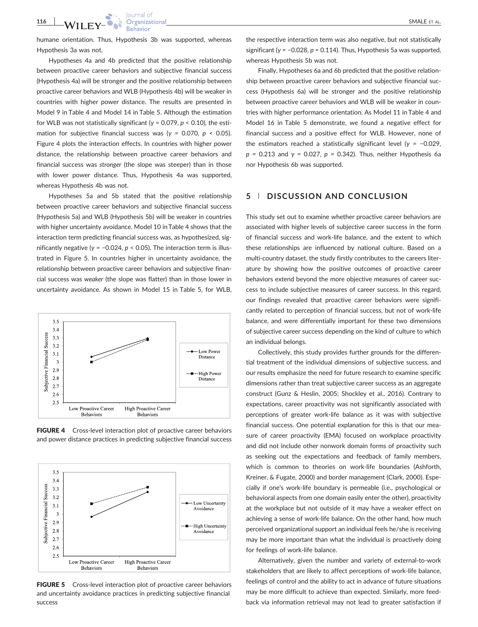humane orientation. Thus, Hypothesis 3b was supported, whereas Hypothesis 3a was not.

Hypotheses 4a and 4b predicted that the positive relationship between proactive career behaviors and subjective financial success (Hypothesis 4a) will be stronger and the positive relationship between proactive career behaviors and WLB (Hypothesis 4b) will be weaker in countries with higher power distance. The results are presented in Model 9 in Table 4 and Model 14 in Table 5. Although the estimation for WLB was not statistically significant ( $γ = 0.079$ ,  $p < 0.10$ ), the estimation for subjective financial success was ( $y = 0.070$ ,  $p \le 0.05$ ). Figure 4 plots the interaction effects. In countries with higher power distance, the relationship between proactive career behaviors and financial success was stronger (the slope was steeper) than in those with lower power distance. Thus, Hypothesis 4a was supported, whereas Hypothesis 4b was not.

Hypotheses 5a and 5b stated that the positive relationship between proactive career behaviors and subjective financial success (Hypothesis 5a) and WLB (Hypothesis 5b) will be weaker in countries with higher uncertainty avoidance. Model 10 in Table 4 shows that the interaction term predicting financial success was, as hypothesized, significantly negative ( $γ = -0.024$ ,  $p < 0.05$ ). The interaction term is illustrated in Figure 5. In countries higher in uncertainty avoidance, the relationship between proactive career behaviors and subjective financial success was weaker (the slope was flatter) than in those lower in uncertainty avoidance. As shown in Model 15 in Table 5, for WLB,



FIGURE 4 Cross-level interaction plot of proactive career behaviors and power distance practices in predicting subjective financial success



FIGURE 5 Cross-level interaction plot of proactive career behaviors and uncertainty avoidance practices in predicting subjective financial success

the respective interaction term was also negative, but not statistically significant ( $y = -0.028$ ,  $p = 0.114$ ). Thus, Hypothesis 5a was supported, whereas Hypothesis 5b was not.

Finally, Hypotheses 6a and 6b predicted that the positive relationship between proactive career behaviors and subjective financial success (Hypothesis 6a) will be stronger and the positive relationship between proactive career behaviors and WLB will be weaker in countries with higher performance orientation. As Model 11 in Table 4 and Model 16 in Table 5 demonstrate, we found a negative effect for financial success and a positive effect for WLB. However, none of the estimators reached a statistically significant level ( $γ = -0.029$ ,  $p = 0.213$  and  $\gamma = 0.027$ ,  $p = 0.342$ ). Thus, neither Hypothesis 6a nor Hypothesis 6b was supported.

### 5 | DISCUSSION AND CONCLUSION

This study set out to examine whether proactive career behaviors are associated with higher levels of subjective career success in the form of financial success and work‐life balance, and the extent to which these relationships are influenced by national culture. Based on a multi-country dataset, the study firstly contributes to the careers literature by showing how the positive outcomes of proactive career behaviors extend beyond the more objective measures of career success to include subjective measures of career success. In this regard, our findings revealed that proactive career behaviors were significantly related to perception of financial success, but not of work‐life balance, and were differentially important for these two dimensions of subjective career success depending on the kind of culture to which an individual belongs.

Collectively, this study provides further grounds for the differential treatment of the individual dimensions of subjective success, and our results emphasize the need for future research to examine specific dimensions rather than treat subjective career success as an aggregate construct (Gunz & Heslin, 2005; Shockley et al., 2016). Contrary to expectations, career proactivity was not significantly associated with perceptions of greater work‐life balance as it was with subjective financial success. One potential explanation for this is that our measure of career proactivity (EMA) focused on workplace proactivity and did not include other nonwork domain forms of proactivity such as seeking out the expectations and feedback of family members, which is common to theories on work‐life boundaries (Ashforth, Kreiner, & Fugate, 2000) and border management (Clark, 2000). Especially if one's work‐life boundary is permeable (i.e., psychological or behavioral aspects from one domain easily enter the other), proactivity at the workplace but not outside of it may have a weaker effect on achieving a sense of work‐life balance. On the other hand, how much perceived organizational support an individual feels he/she is receiving may be more important than what the individual is proactively doing for feelings of work‐life balance.

Alternatively, given the number and variety of external‐to‐work stakeholders that are likely to affect perceptions of work‐life balance, feelings of control and the ability to act in advance of future situations may be more difficult to achieve than expected. Similarly, more feedback via information retrieval may not lead to greater satisfaction if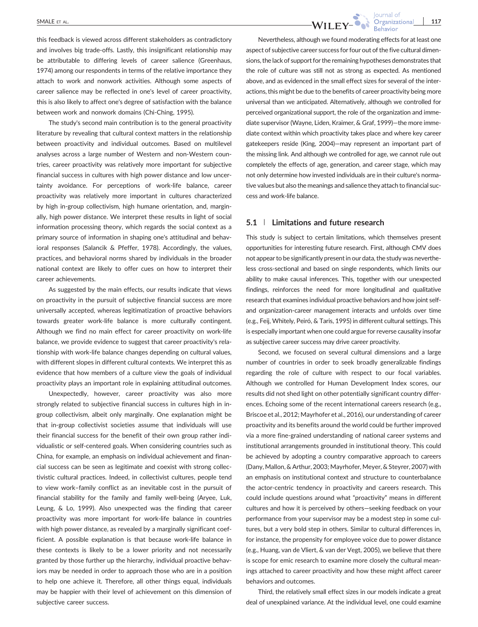this feedback is viewed across different stakeholders as contradictory and involves big trade‐offs. Lastly, this insignificant relationship may be attributable to differing levels of career salience (Greenhaus, 1974) among our respondents in terms of the relative importance they attach to work and nonwork activities. Although some aspects of career salience may be reflected in one's level of career proactivity, this is also likely to affect one's degree of satisfaction with the balance between work and nonwork domains (Chi‐Ching, 1995).

The study's second main contribution is to the general proactivity literature by revealing that cultural context matters in the relationship between proactivity and individual outcomes. Based on multilevel analyses across a large number of Western and non‐Western countries, career proactivity was relatively more important for subjective financial success in cultures with high power distance and low uncertainty avoidance. For perceptions of work‐life balance, career proactivity was relatively more important in cultures characterized by high in‐group collectivism, high humane orientation, and, marginally, high power distance. We interpret these results in light of social information processing theory, which regards the social context as a primary source of information in shaping one's attitudinal and behavioral responses (Salancik & Pfeffer, 1978). Accordingly, the values, practices, and behavioral norms shared by individuals in the broader national context are likely to offer cues on how to interpret their career achievements.

As suggested by the main effects, our results indicate that views on proactivity in the pursuit of subjective financial success are more universally accepted, whereas legitimatization of proactive behaviors towards greater work‐life balance is more culturally contingent. Although we find no main effect for career proactivity on work‐life balance, we provide evidence to suggest that career proactivity's relationship with work‐life balance changes depending on cultural values, with different slopes in different cultural contexts. We interpret this as evidence that how members of a culture view the goals of individual proactivity plays an important role in explaining attitudinal outcomes.

Unexpectedly, however, career proactivity was also more strongly related to subjective financial success in cultures high in in‐ group collectivism, albeit only marginally. One explanation might be that in‐group collectivist societies assume that individuals will use their financial success for the benefit of their own group rather individualistic or self‐centered goals. When considering countries such as China, for example, an emphasis on individual achievement and financial success can be seen as legitimate and coexist with strong collectivistic cultural practices. Indeed, in collectivist cultures, people tend to view work–family conflict as an inevitable cost in the pursuit of financial stability for the family and family well‐being (Aryee, Luk, Leung, & Lo, 1999). Also unexpected was the finding that career proactivity was more important for work‐life balance in countries with high power distance, as revealed by a marginally significant coefficient. A possible explanation is that because work‐life balance in these contexts is likely to be a lower priority and not necessarily granted by those further up the hierarchy, individual proactive behaviors may be needed in order to approach those who are in a position to help one achieve it. Therefore, all other things equal, individuals may be happier with their level of achievement on this dimension of subjective career success.

Journal of SMALE ET AL.  $\blacksquare$ 

> Nevertheless, although we found moderating effects for at least one aspect of subjective career success for four out of the five cultural dimensions, the lack of support for the remaining hypotheses demonstrates that the role of culture was still not as strong as expected. As mentioned above, and as evidenced in the small effect sizes for several of the interactions, this might be due to the benefits of career proactivity being more universal than we anticipated. Alternatively, although we controlled for perceived organizational support, the role of the organization and immediate supervisor (Wayne, Liden, Kraimer, & Graf, 1999)—the more immediate context within which proactivity takes place and where key career gatekeepers reside (King, 2004)—may represent an important part of the missing link. And although we controlled for age, we cannot rule out completely the effects of age, generation, and career stage, which may not only determine how invested individuals are in their culture's normative values but also the meanings and salience they attach to financial success and work‐life balance.

#### 5.1 | Limitations and future research

This study is subject to certain limitations, which themselves present opportunities for interesting future research. First, although CMV does not appear to be significantly present in our data, the study was nevertheless cross‐sectional and based on single respondents, which limits our ability to make causal inferences. This, together with our unexpected findings, reinforces the need for more longitudinal and qualitative research that examines individual proactive behaviors and how joint self‐ and organization‐career management interacts and unfolds over time (e.g., Feij, Whitely, Peiró, & Taris, 1995) in different cultural settings. This is especially important when one could argue for reverse causality insofar as subjective career success may drive career proactivity.

Second, we focused on several cultural dimensions and a large number of countries in order to seek broadly generalizable findings regarding the role of culture with respect to our focal variables. Although we controlled for Human Development Index scores, our results did not shed light on other potentially significant country differences. Echoing some of the recent international careers research (e.g., Briscoe et al., 2012; Mayrhofer et al., 2016), our understanding of career proactivity and its benefits around the world could be further improved via a more fine‐grained understanding of national career systems and institutional arrangements grounded in institutional theory. This could be achieved by adopting a country comparative approach to careers (Dany, Mallon, & Arthur, 2003; Mayrhofer, Meyer, & Steyrer, 2007) with an emphasis on institutional context and structure to counterbalance the actor‐centric tendency in proactivity and careers research. This could include questions around what "proactivity" means in different cultures and how it is perceived by others—seeking feedback on your performance from your supervisor may be a modest step in some cultures, but a very bold step in others. Similar to cultural differences in, for instance, the propensity for employee voice due to power distance (e.g., Huang, van de Vliert, & van der Vegt, 2005), we believe that there is scope for emic research to examine more closely the cultural meanings attached to career proactivity and how these might affect career behaviors and outcomes.

Third, the relatively small effect sizes in our models indicate a great deal of unexplained variance. At the individual level, one could examine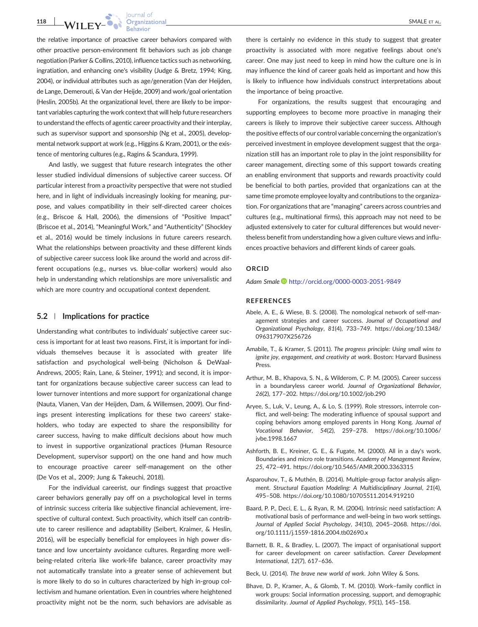**118 WILEY- COMPRETE AL.**<br>
SMALE ET AL.<br>
Behavior Behavior

the relative importance of proactive career behaviors compared with other proactive person‐environment fit behaviors such as job change negotiation (Parker & Collins, 2010), influence tactics such as networking, ingratiation, and enhancing one's visibility (Judge & Bretz, 1994; King, 2004), or individual attributes such as age/generation (Van der Heijden, de Lange, Demerouti, & Van der Heijde, 2009) and work/goal orientation (Heslin, 2005b). At the organizational level, there are likely to be important variables capturing the work context that will help future researchers to understand the effects of agentic career proactivity and their interplay, such as supervisor support and sponsorship (Ng et al., 2005), developmental network support at work (e.g., Higgins & Kram, 2001), or the existence of mentoring cultures (e.g., Ragins & Scandura, 1999).

And lastly, we suggest that future research integrates the other lesser studied individual dimensions of subjective career success. Of particular interest from a proactivity perspective that were not studied here, and in light of individuals increasingly looking for meaning, purpose, and values compatibility in their self‐directed career choices (e.g., Briscoe & Hall, 2006), the dimensions of "Positive Impact" (Briscoe et al., 2014), "Meaningful Work," and "Authenticity" (Shockley et al., 2016) would be timely inclusions in future careers research. What the relationships between proactivity and these different kinds of subjective career success look like around the world and across different occupations (e.g., nurses vs. blue-collar workers) would also help in understanding which relationships are more universalistic and which are more country and occupational context dependent.

#### 5.2 | Implications for practice

Understanding what contributes to individuals' subjective career success is important for at least two reasons. First, it is important for individuals themselves because it is associated with greater life satisfaction and psychological well-being (Nicholson & DeWaal-Andrews, 2005; Rain, Lane, & Steiner, 1991); and second, it is important for organizations because subjective career success can lead to lower turnover intentions and more support for organizational change (Nauta, Vianen, Van der Heijden, Dam, & Willemsen, 2009). Our findings present interesting implications for these two careers' stakeholders, who today are expected to share the responsibility for career success, having to make difficult decisions about how much to invest in supportive organizational practices (Human Resource Development, supervisor support) on the one hand and how much to encourage proactive career self‐management on the other (De Vos et al., 2009; Jung & Takeuchi, 2018).

For the individual careerist, our findings suggest that proactive career behaviors generally pay off on a psychological level in terms of intrinsic success criteria like subjective financial achievement, irrespective of cultural context. Such proactivity, which itself can contribute to career resilience and adaptability (Seibert, Kraimer, & Heslin, 2016), will be especially beneficial for employees in high power distance and low uncertainty avoidance cultures. Regarding more well‐ being-related criteria like work-life balance, career proactivity may not automatically translate into a greater sense of achievement but is more likely to do so in cultures characterized by high in‐group collectivism and humane orientation. Even in countries where heightened proactivity might not be the norm, such behaviors are advisable as

there is certainly no evidence in this study to suggest that greater proactivity is associated with more negative feelings about one's career. One may just need to keep in mind how the culture one is in may influence the kind of career goals held as important and how this is likely to influence how individuals construct interpretations about the importance of being proactive.

For organizations, the results suggest that encouraging and supporting employees to become more proactive in managing their careers is likely to improve their subjective career success. Although the positive effects of our control variable concerning the organization's perceived investment in employee development suggest that the organization still has an important role to play in the joint responsibility for career management, directing some of this support towards creating an enabling environment that supports and rewards proactivity could be beneficial to both parties, provided that organizations can at the same time promote employee loyalty and contributions to the organization. For organizations that are "managing" careers across countries and cultures (e.g., multinational firms), this approach may not need to be adjusted extensively to cater for cultural differences but would nevertheless benefit from understanding how a given culture views and influences proactive behaviors and different kinds of career goals.

#### ORCID

Adam Smale http://orcid.org/0000-0003-2051-9849

#### REFERENCES

- Abele, A. E., & Wiese, B. S. (2008). The nomological network of self‐management strategies and career success. Journal of Occupational and Organizational Psychology, 81(4), 733–749. https://doi.org/10.1348/ 096317907X256726
- Amabile, T., & Kramer, S. (2011). The progress principle: Using small wins to ignite joy, engagement, and creativity at work. Boston: Harvard Business Press.
- Arthur, M. B., Khapova, S. N., & Wilderom, C. P. M. (2005). Career success in a boundaryless career world. Journal of Organizational Behavior, 26(2), 177–202. https://doi.org/10.1002/job.290
- Aryee, S., Luk, V., Leung, A., & Lo, S. (1999). Role stressors, interrole conflict, and well-being: The moderating influence of spousal support and coping behaviors among employed parents in Hong Kong. Journal of Vocational Behavior, 54(2), 259–278. https://doi.org/10.1006/ jvbe.1998.1667
- Ashforth, B. E., Kreiner, G. E., & Fugate, M. (2000). All in a day's work. Boundaries and micro role transitions. Academy of Management Review, 25, 472–491. https://doi.org/10.5465/AMR.2000.3363315
- Asparouhov, T., & Muthén, B. (2014). Multiple‐group factor analysis alignment. Structural Equation Modeling: A Multidisciplinary Journal, 21(4), 495–508. https://doi.org/10.1080/10705511.2014.919210
- Baard, P. P., Deci, E. L., & Ryan, R. M. (2004). Intrinsic need satisfaction: A motivational basis of performance and well‐being in two work settings. Journal of Applied Social Psychology, 34(10), 2045–2068. https://doi. org/10.1111/j.1559‐1816.2004.tb02690.x
- Barnett, B. R., & Bradley, L. (2007). The impact of organisational support for career development on career satisfaction. Career Development International, 12(7), 617–636.

Beck, U. (2014). The brave new world of work. John Wiley & Sons.

Bhave, D. P., Kramer, A., & Glomb, T. M. (2010). Work–family conflict in work groups: Social information processing, support, and demographic dissimilarity. Journal of Applied Psychology, 95(1), 145–158.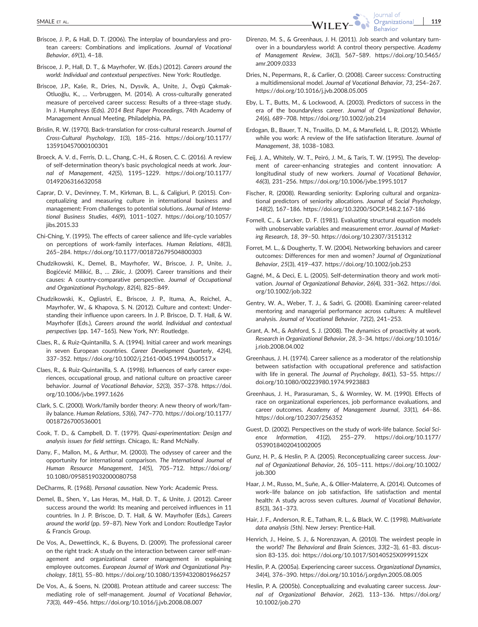- Briscoe, J. P., & Hall, D. T. (2006). The interplay of boundaryless and protean careers: Combinations and implications. Journal of Vocational Behavior, 69(1), 4–18.
- Briscoe, J. P., Hall, D. T., & Mayrhofer, W. (Eds.) (2012). Careers around the world: Individual and contextual perspectives. New York: Routledge.
- Briscoe, J.P., Kaše, R., Dries, N., Dysvik, A., Unite, J., Övgü Çakmak‐ Otluoğlu, K., … Verbruggen, M. (2014). A cross‐culturally generated measure of perceived career success: Results of a three‐stage study. In J. Humphreys (Eds). 2014 Best Paper Proceedings, 74th Academy of Management Annual Meeting, Philadelphia, PA.
- Brislin, R. W. (1970). Back‐translation for cross‐cultural research. Journal of Cross‐Cultural Psychology, 1(3), 185–216. https://doi.org/10.1177/ 135910457000100301
- Broeck, A. V. d., Ferris, D. L., Chang, C.‐H., & Rosen, C. C. (2016). A review of self‐determination theory's basic psychological needs at work. Journal of Management, 42(5), 1195–1229. https://doi.org/10.1177/ 0149206316632058
- Caprar, D. V., Devinney, T. M., Kirkman, B. L., & Caligiuri, P. (2015). Conceptualizing and measuring culture in international business and management: From challenges to potential solutions. Journal of International Business Studies, 46(9), 1011–1027. https://doi.org/10.1057/ iibs.2015.33
- Chi‐Ching, Y. (1995). The effects of career salience and life‐cycle variables on perceptions of work‐family interfaces. Human Relations, 48(3), 265–284. https://doi.org/10.1177/001872679504800303
- Chudzikowski, K., Demel, B., Mayrhofer, W., Briscoe, J. P., Unite, J., Bogićević Milikić, B., … Zikic, J. (2009). Career transitions and their causes: A country‐comparative perspective. Journal of Occupational and Organizational Psychology, 82(4), 825–849.
- Chudzikowski, K., Ogliastri, E., Briscoe, J. P., Ituma, A., Reichel, A., Mayrhofer, W., & Khapova, S. N. (2012). Culture and context: Understanding their influence upon careers. In J. P. Briscoe, D. T. Hall, & W. Mayrhofer (Eds.), Careers around the world. Individual and contextual perspectives (pp. 147–165). New York, NY: Routledge.
- Claes, R., & Ruiz‐Quintanilla, S. A. (1994). Initial career and work meanings in seven European countries. Career Development Quarterly, 42(4), 337–352. https://doi.org/10.1002/j.2161‐0045.1994.tb00517.x
- Claes, R., & Ruiz‐Quintanilla, S. A. (1998). Influences of early career experiences, occupational group, and national culture on proactive career behavior. Journal of Vocational Behavior, 52(3), 357–378. https://doi. org/10.1006/jvbe.1997.1626
- Clark, S. C. (2000). Work/family border theory: A new theory of work/family balance. Human Relations, 53(6), 747–770. https://doi.org/10.1177/ 0018726700536001
- Cook, T. D., & Campbell, D. T. (1979). Quasi‐experimentation: Design and analysis issues for field settings. Chicago, IL: Rand McNally.
- Dany, F., Mallon, M., & Arthur, M. (2003). The odyssey of career and the opportunity for international comparison. The International Journal of Human Resource Management, 14(5), 705–712. https://doi.org/ 10.1080/0958519032000080758
- DeCharms, R. (1968). Personal causation. New York: Academic Press.
- Demel, B., Shen, Y., Las Heras, M., Hall, D. T., & Unite, J. (2012). Career success around the world: Its meaning and perceived influences in 11 countries. In J. P. Briscoe, D. T. Hall, & W. Mayrhofer (Eds.), Careers around the world (pp. 59–87). New York and London: Routledge Taylor & Francis Group.
- De Vos, A., Dewettinck, K., & Buyens, D. (2009). The professional career on the right track: A study on the interaction between career self‐management and organizational career management in explaining employee outcomes. European Journal of Work and Organizational Psychology, 18(1), 55–80. https://doi.org/10.1080/13594320801966257
- De Vos, A., & Soens, N. (2008). Protean attitude and career success: The mediating role of self‐management. Journal of Vocational Behavior, 73(3), 449–456. https://doi.org/10.1016/j.jvb.2008.08.007

**Behavior** Direnzo, M. S., & Greenhaus, J. H. (2011). Job search and voluntary turnover in a boundaryless world: A control theory perspective. Academy

lournal of

- of Management Review, 36(3), 567–589. https://doi.org/10.5465/ amr.2009.0333 Dries, N., Pepermans, R., & Carlier, O. (2008). Career success: Constructing
- a multidimensional model. Journal of Vocational Behavior, 73, 254–267. https://doi.org/10.1016/j.jvb.2008.05.005
- Eby, L. T., Butts, M., & Lockwood, A. (2003). Predictors of success in the era of the boundaryless career. Journal of Organizational Behavior, 24(6), 689–708. https://doi.org/10.1002/job.214
- Erdogan, B., Bauer, T. N., Truxillo, D. M., & Mansfield, L. R. (2012). Whistle while you work: A review of the life satisfaction literature. Journal of Management, 38, 1038–1083.
- Feij, J. A., Whitely, W. T., Peiró, J. M., & Taris, T. W. (1995). The development of career-enhancing strategies and content innovation: A longitudinal study of new workers. Journal of Vocational Behavior, 46(3), 231–256. https://doi.org/10.1006/jvbe.1995.1017
- Fischer, R. (2008). Rewarding seniority: Exploring cultural and organizational predictors of seniority allocations. Journal of Social Psychology, 148(2), 167–186. https://doi.org/10.3200/SOCP.148.2.167‐186
- Fornell, C., & Larcker, D. F. (1981). Evaluating structural equation models with unobservable variables and measurement error. Journal of Marketing Research, 18, 39–50. https://doi.org/10.2307/3151312
- Forret, M. L., & Dougherty, T. W. (2004). Networking behaviors and career outcomes: Differences for men and women? Journal of Organizational Behavior, 25(3), 419–437. https://doi.org/10.1002/job.253
- Gagné, M., & Deci, E. L. (2005). Self‐determination theory and work motivation. Journal of Organizational Behavior, 26(4), 331–362. https://doi. org/10.1002/job.322
- Gentry, W. A., Weber, T. J., & Sadri, G. (2008). Examining career‐related mentoring and managerial performance across cultures: A multilevel analysis. Journal of Vocational Behavior, 72(2), 241–253.
- Grant, A. M., & Ashford, S. J. (2008). The dynamics of proactivity at work. Research in Organizational Behavior, 28, 3–34. https://doi.org/10.1016/ j.riob.2008.04.002
- Greenhaus, J. H. (1974). Career salience as a moderator of the relationship between satisfaction with occupational preference and satisfaction with life in general. The Journal of Psychology, 86(1), 53–55. https:// doi.org/10.1080/00223980.1974.9923883
- Greenhaus, J. H., Parasuraman, S., & Wormley, W. M. (1990). Effects of race on organizational experiences, job performance evaluations, and career outcomes. Academy of Management Journal, 33(1), 64–86. https://doi.org/10.2307/256352
- Guest, D. (2002). Perspectives on the study of work‐life balance. Social Science Information, 41(2), 255–279. https://doi.org/10.1177/ 0539018402041002005
- Gunz, H. P., & Heslin, P. A. (2005). Reconceptualizing career success. Journal of Organizational Behavior, 26, 105–111. https://doi.org/10.1002/ job.300
- Haar, J. M., Russo, M., Suñe, A., & Ollier‐Malaterre, A. (2014). Outcomes of work–life balance on job satisfaction, life satisfaction and mental health: A study across seven cultures. Journal of Vocational Behavior, 85(3), 361–373.
- Hair, J. F., Anderson, R. E., Tatham, R. L., & Black, W. C. (1998). Multivariate data analysis (5th). New Jersey: Prentice-Hall.
- Henrich, J., Heine, S. J., & Norenzayan, A. (2010). The weirdest people in the world? The Behavioral and Brain Sciences, 33(2–3), 61–83. discussion 83‐135. doi: https://doi.org/10.1017/S0140525X0999152X
- Heslin, P. A. (2005a). Experiencing career success. Organizational Dynamics, 34(4), 376–390. https://doi.org/10.1016/j.orgdyn.2005.08.005
- Heslin, P. A. (2005b). Conceptualizing and evaluating career success. Journal of Organizational Behavior, 26(2), 113–136. https://doi.org/ 10.1002/job.270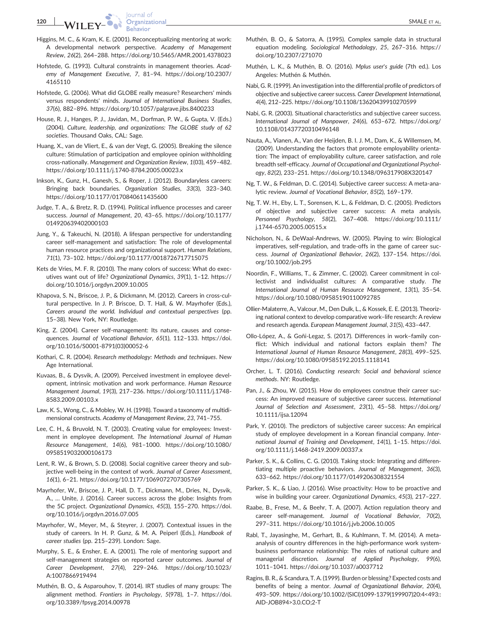- Higgins, M. C., & Kram, K. E. (2001). Reconceptualizing mentoring at work: A developmental network perspective. Academy of Management Review, 26(2), 264–288. https://doi.org/10.5465/AMR.2001.4378023
- Hofstede, G. (1993). Cultural constraints in management theories. Academy of Management Executive, 7, 81–94. https://doi.org/10.2307/ 4165110
- Hofstede, G. (2006). What did GLOBE really measure? Researchers' minds versus respondents' minds. Journal of International Business Studies, 37(6), 882–896. https://doi.org/10.1057/palgrave.jibs.8400233
- House, R. J., Hanges, P. J., Javidan, M., Dorfman, P. W., & Gupta, V. (Eds.) (2004). Culture, leadership, and organizations: The GLOBE study of 62 societies. Thousand Oaks, CAL: Sage.
- Huang, X., van de Vliert, E., & van der Vegt, G. (2005). Breaking the silence culture: Stimulation of participation and employee opinion withholding cross‐nationally. Management and Organization Review, 1(03), 459–482. https://doi.org/10.1111/j.1740‐8784.2005.00023.x
- Inkson, K., Gunz, H., Ganesh, S., & Roper, J. (2012). Boundaryless careers: Bringing back boundaries. Organization Studies, 33(3), 323–340. https://doi.org/10.1177/0170840611435600
- Judge, T. A., & Bretz, R. D. (1994). Political influence processes and career success. Journal of Management, 20, 43–65. https://doi.org/10.1177/ 014920639402000103
- Jung, Y., & Takeuchi, N. (2018). A lifespan perspective for understanding career self‐management and satisfaction: The role of developmental human resource practices and organizational support. Human Relations, 71(1), 73–102. https://doi.org/10.1177/0018726717715075
- Kets de Vries, M. F. R. (2010). The many colors of success: What do executives want out of life? Organizational Dynamics, 39(1), 1–12. https:// doi.org/10.1016/j.orgdyn.2009.10.005
- Khapova, S. N., Briscoe, J. P., & Dickmann, M. (2012). Careers in cross-cultural perspective. In J. P. Briscoe, D. T. Hall, & W. Mayrhofer (Eds.), Careers around the world. Individual and contextual perspectives (pp. 15–38). New York, NY: Routledge.
- King, Z. (2004). Career self-management: Its nature, causes and consequences. Journal of Vocational Behavior, 65(1), 112–133. https://doi. org/10.1016/S0001‐8791(03)00052‐6
- Kothari, C. R. (2004). Research methodology: Methods and techniques. New Age International.
- Kuvaas, B., & Dysvik, A. (2009). Perceived investment in employee development, intrinsic motivation and work performance. Human Resource Management Journal, 19(3), 217–236. https://doi.org/10.1111/j.1748‐ 8583.2009.00103.x
- Law, K. S., Wong, C., & Mobley, W. H. (1998). Toward a taxonomy of multidimensional constructs. Academy of Management Review, 23, 741–755.
- Lee, C. H., & Bruvold, N. T. (2003). Creating value for employees: Investment in employee development. The International Journal of Human Resource Management, 14(6), 981–1000. https://doi.org/10.1080/ 0958519032000106173
- Lent, R. W., & Brown, S. D. (2008). Social cognitive career theory and subjective well-being in the context of work. Journal of Career Assessment, 16(1), 6–21. https://doi.org/10.1177/1069072707305769
- Mayrhofer, W., Briscoe, J. P., Hall, D. T., Dickmann, M., Dries, N., Dysvik, A., … Unite, J. (2016). Career success across the globe: Insights from the 5C project. Organizational Dynamics, 45(3), 155–270. https://doi. org/10.1016/j.orgdyn.2016.07.005
- Mayrhofer, W., Meyer, M., & Steyrer, J. (2007). Contextual issues in the study of careers. In H. P. Gunz, & M. A. Peiperl (Eds.), Handbook of career studies (pp. 215–239). London: Sage.
- Murphy, S. E., & Ensher, E. A. (2001). The role of mentoring support and self-management strategies on reported career outcomes. Journal of Career Development, 27(4), 229–246. https://doi.org/10.1023/ A:1007866919494
- Muthén, B. O., & Asparouhov, T. (2014). IRT studies of many groups: The alignment method. Frontiers in Psychology, 5(978), 1–7. https://doi. org/10.3389/fpsyg.2014.00978
- Muthén, B. O., & Satorra, A. (1995). Complex sample data in structural equation modeling. Sociological Methodology, 25, 267–316. https:// doi.org/10.2307/271070
- Muthén, L. K., & Muthén, B. O. (2016). Mplus user's guide (7th ed.). Los Angeles: Muthén & Muthén.
- Nabi, G. R. (1999). An investigation into the differential profile of predictors of objective and subjective career success. Career Development International, 4(4), 212–225. https://doi.org/10.1108/13620439910270599
- Nabi, G. R. (2003). Situational characteristics and subjective career success. International Journal of Manpower, 24(6), 653–672. https://doi.org/ 10.1108/01437720310496148
- Nauta, A., Vianen, A., Van der Heijden, B. I. J. M., Dam, K., & Willemsen, M. (2009). Understanding the factors that promote employability orientation: The impact of employability culture, career satisfaction, and role breadth self‐efficacy. Journal of Occupational and Organizational Psychology, 82(2), 233–251. https://doi.org/10.1348/096317908X320147
- Ng, T. W., & Feldman, D. C. (2014). Subjective career success: A meta‐analytic review. Journal of Vocational Behavior, 85(2), 169–179.
- Ng, T. W. H., Eby, L. T., Sorensen, K. L., & Feldman, D. C. (2005). Predictors of objective and subjective career success: A meta analysis. Personnel Psychology, 58(2), 367–408. https://doi.org/10.1111/ j.1744‐6570.2005.00515.x
- Nicholson, N., & DeWaal‐Andrews, W. (2005). Playing to win: Biological imperatives, self-regulation, and trade-offs in the game of career success. Journal of Organizational Behavior, 26(2), 137–154. https://doi. org/10.1002/job.295
- Noordin, F., Williams, T., & Zimmer, C. (2002). Career commitment in collectivist and individualist cultures: A comparative study. The International Journal of Human Resource Management, 13(1), 35–54. https://doi.org/10.1080/09585190110092785
- Ollier‐Malaterre, A., Valcour, M., Den Dulk, L., & Kossek, E. E. (2013). Theorizing national context to develop comparative work–life research: A review and research agenda. European Management Journal, 31(5), 433–447.
- Ollo‐López, A., & Goñi‐Legaz, S. (2017). Differences in work–family conflict: Which individual and national factors explain them? The International Journal of Human Resource Management, 28(3), 499–525. https://doi.org/10.1080/09585192.2015.1118141
- Orcher, L. T. (2016). Conducting research: Social and behavioral science methods. NY: Routledge.
- Pan, J., & Zhou, W. (2015). How do employees construe their career success: An improved measure of subjective career success. International Journal of Selection and Assessment, 23(1), 45–58. https://doi.org/ 10.1111/ijsa.12094
- Park, Y. (2010). The predictors of subjective career success: An empirical study of employee development in a Korean financial company. International Journal of Training and Development, 14(1), 1–15. https://doi. org/10.1111/j.1468‐2419.2009.00337.x
- Parker, S. K., & Collins, C. G. (2010). Taking stock: Integrating and differentiating multiple proactive behaviors. Journal of Management, 36(3), 633–662. https://doi.org/10.1177/0149206308321554
- Parker, S. K., & Liao, J. (2016). Wise proactivity: How to be proactive and wise in building your career. Organizational Dynamics, 45(3), 217–227.
- Raabe, B., Frese, M., & Beehr, T. A. (2007). Action regulation theory and career self-management. Journal of Vocational Behavior, 70(2), 297–311. https://doi.org/10.1016/j.jvb.2006.10.005
- Rabl, T., Jayasinghe, M., Gerhart, B., & Kuhlmann, T. M. (2014). A meta‐ analysis of country differences in the high-performance work systembusiness performance relationship: The roles of national culture and managerial discretion. Journal of Applied Psychology, 99(6), 1011–1041. https://doi.org/10.1037/a0037712
- Ragins, B. R., & Scandura, T. A. (1999). Burden or blessing? Expected costs and benefits of being a mentor. Journal of Organizational Behavior, 20(4), 493–509. https://doi.org/10.1002/(SICI)1099‐1379(199907)20:4<493:: AID‐JOB894>3.0.CO;2‐T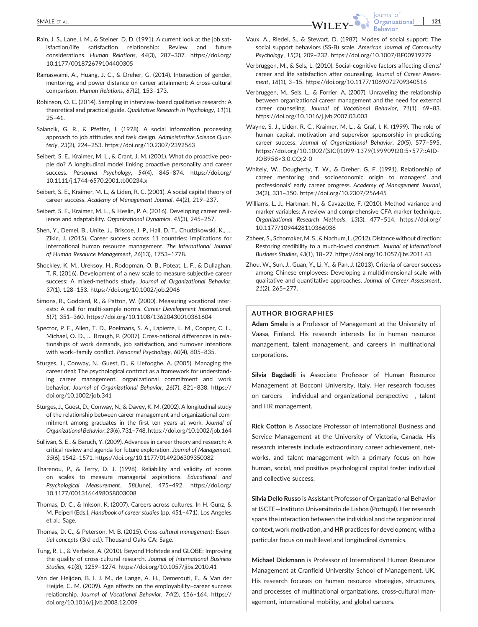- Rain, J. S., Lane, I. M., & Steiner, D. D. (1991). A current look at the job satisfaction/life satisfaction relationship: Review and future considerations. Human Relations, 44(3), 287–307. https://doi.org/ 10.1177/001872679104400305
- Ramaswami, A., Huang, J. C., & Dreher, G. (2014). Interaction of gender, mentoring, and power distance on career attainment: A cross-cultural comparison. Human Relations, 67(2), 153–173.
- Robinson, O. C. (2014). Sampling in interview‐based qualitative research: A theoretical and practical guide. Qualitative Research in Psychology, 11(1), 25–41.
- Salancik, G. R., & Pfeffer, J. (1978). A social information processing approach to job attitudes and task design. Administrative Science Quarterly, 23(2), 224–253. https://doi.org/10.2307/2392563
- Seibert, S. E., Kraimer, M. L., & Crant, J. M. (2001). What do proactive people do? A longitudinal model linking proactive personality and career success. Personnel Psychology, 54(4), 845–874. https://doi.org/ 10.1111/j.1744‐6570.2001.tb00234.x
- Seibert, S. E., Kraimer, M. L., & Liden, R. C. (2001). A social capital theory of career success. Academy of Management Journal, 44(2), 219–237.
- Seibert, S. E., Kraimer, M. L., & Heslin, P. A. (2016). Developing career resilience and adaptability. Organizational Dynamics, 45(3), 245–257.
- Shen, Y., Demel, B., Unite, J., Briscoe, J. P., Hall, D. T., Chudzikowski, K., … Zikic, J. (2015). Career success across 11 countries: Implications for international human resource management. The International Journal of Human Resource Management, 26(13), 1753–1778.
- Shockley, K. M., Ureksoy, H., Rodopman, O. B., Poteat, L. F., & Dullaghan, T. R. (2016). Development of a new scale to measure subjective career success: A mixed-methods study. Journal of Organizational Behavior, 37(1), 128–153. https://doi.org/10.1002/job.2046
- Simons, R., Goddard, R., & Patton, W. (2000). Measuring vocational interests: A call for multi-sample norms. Career Development International, 5(7), 351–360. https://doi.org/10.1108/13620430010361604
- Spector, P. E., Allen, T. D., Poelmans, S. A., Lapierre, L. M., Cooper, C. L., Michael, O. D., ... Brough, P. (2007). Cross-national differences in relationships of work demands, job satisfaction, and turnover intentions with work–family conflict. Personnel Psychology, 60(4), 805–835.
- Sturges, J., Conway, N., Guest, D., & Liefooghe, A. (2005). Managing the career deal: The psychological contract as a framework for understanding career management, organizational commitment and work behavior. Journal of Organizational Behavior, 26(7), 821–838. https:// doi.org/10.1002/job.341
- Sturges, J., Guest, D., Conway, N., & Davey, K. M. (2002). A longitudinal study of the relationship between career management and organizational commitment among graduates in the first ten years at work. Journal of Organizational Behavior, 23(6), 731–748. https://doi.org/10.1002/job.164
- Sullivan, S. E., & Baruch, Y. (2009). Advances in career theory and research: A critical review and agenda for future exploration. Journal of Management, 35(6), 1542–1571. https://doi.org/10.1177/0149206309350082
- Tharenou, P., & Terry, D. J. (1998). Reliability and validity of scores on scales to measure managerial aspirations. Educational and Psychological Measurement, 58(June), 475–492. https://doi.org/ 10.1177/0013164498058003008
- Thomas, D. C., & Inkson, K. (2007). Careers across cultures. In H. Gunz, & M. Peiperl (Eds.), Handbook of career studies (pp. 451–471). Los Angeles et al.: Sage.
- Thomas, D. C., & Peterson, M. B. (2015). Cross‐cultural management: Essential concepts (3rd ed.). Thousand Oaks CA: Sage.
- Tung, R. L., & Verbeke, A. (2010). Beyond Hofstede and GLOBE: Improving the quality of cross-cultural research. Journal of International Business Studies, 41(8), 1259–1274. https://doi.org/10.1057/jibs.2010.41
- Van der Heijden, B. I. J. M., de Lange, A. H., Demerouti, E., & Van der Heijde, C. M. (2009). Age effects on the employability–career success relationship. Journal of Vocational Behavior, 74(2), 156–164. https:// doi.org/10.1016/j.jvb.2008.12.009

Vaux, A., Riedel, S., & Stewart, D. (1987). Modes of social support: The social support behaviors (SS-B) scale. American Journal of Community Psychology, 15(2), 209–232. https://doi.org/10.1007/BF00919279

lournal of **Behavior** 

- Verbruggen, M., & Sels, L. (2010). Social‐cognitive factors affecting clients' career and life satisfaction after counseling. Journal of Career Assessment, 18(1), 3–15. https://doi.org/10.1177/1069072709340516
- Verbruggen, M., Sels, L., & Forrier, A. (2007). Unraveling the relationship between organizational career management and the need for external career counseling. Journal of Vocational Behavior, 71(1), 69–83. https://doi.org/10.1016/j.jvb.2007.03.003
- Wayne, S. J., Liden, R. C., Kraimer, M. L., & Graf, I. K. (1999). The role of human capital, motivation and supervisor sponsorship in predicting career success. Journal of Organizational Behavior, 20(5), 577–595. https://doi.org/10.1002/(SICI)1099‐1379(199909)20:5<577::AID‐ JOB958>3.0.CO;2‐0
- Whitely, W., Dougherty, T. W., & Dreher, G. F. (1991). Relationship of career mentoring and socioeconomic origin to managers' and professionals' early career progress. Academy of Management Journal, 34(2), 331–350. https://doi.org/10.2307/256445
- Williams, L. J., Hartman, N., & Cavazotte, F. (2010). Method variance and marker variables: A review and comprehensive CFA marker technique. Organizational Research Methods, 13(3), 477–514. https://doi.org/ 10.1177/1094428110366036
- Zaheer, S., Schomaker, M. S., & Nachum, L. (2012). Distance without direction: Restoring credibility to a much‐loved construct. Journal of International Business Studies, 43(1), 18–27. https://doi.org/10.1057/jibs.2011.43
- Zhou, W., Sun, J., Guan, Y., Li, Y., & Pan, J. (2013). Criteria of career success among Chinese employees: Developing a multidimensional scale with qualitative and quantitative approaches. Journal of Career Assessment, 21(2), 265–277.

#### AUTHOR BIOGRAPHIES

Adam Smale is a Professor of Management at the University of Vaasa, Finland. His research interests lie in human resource management, talent management, and careers in multinational corporations.

Silvia Bagdadli is Associate Professor of Human Resource Management at Bocconi University, Italy. Her research focuses on careers – individual and organizational perspective –, talent and HR management.

Rick Cotton is Associate Professor of international Business and Service Management at the University of Victoria, Canada. His research interests include extraordinary career achievement, networks, and talent management with a primary focus on how human, social, and positive psychological capital foster individual and collective success.

Silvia Dello Russo is Assistant Professor of Organizational Behavior at ISCTE—Instituto Universitario de Lisboa (Portugal). Her research spans the interaction between the individual and the organizational context, work motivation, and HR practices for development, with a particular focus on multilevel and longitudinal dynamics.

Michael Dickmann is Professor of International Human Resource Management at Cranfield University School of Management, UK. His research focuses on human resource strategies, structures, and processes of multinational organizations, cross-cultural management, international mobility, and global careers.